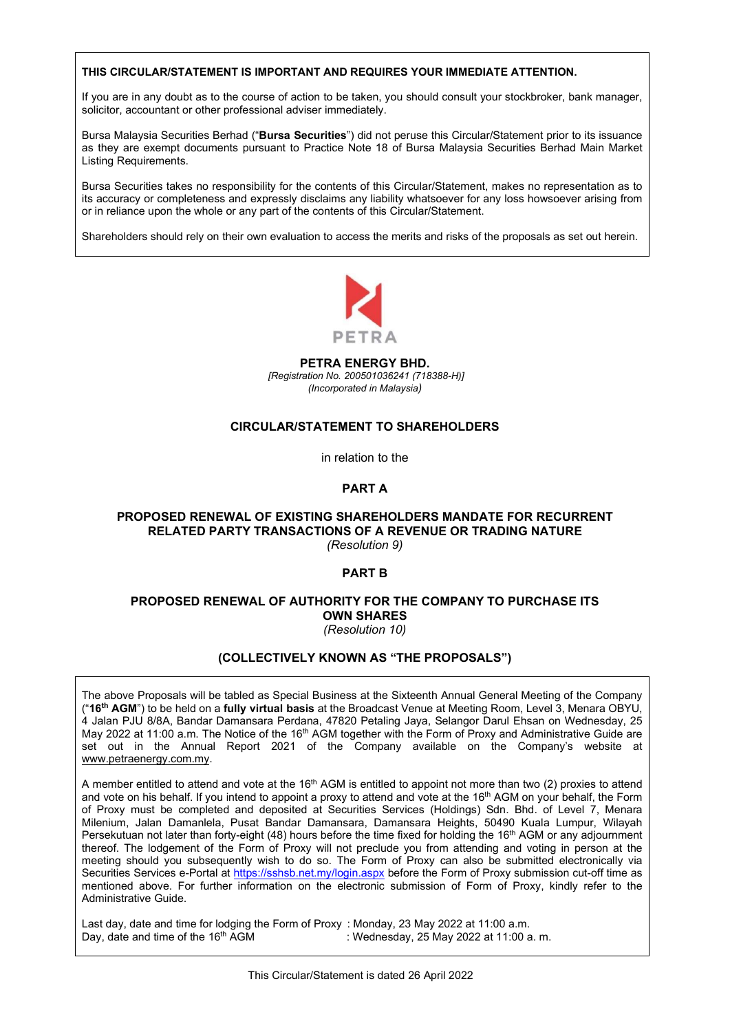### THIS CIRCULAR/STATEMENT IS IMPORTANT AND REQUIRES YOUR IMMEDIATE ATTENTION.

If you are in any doubt as to the course of action to be taken, you should consult your stockbroker, bank manager, solicitor, accountant or other professional adviser immediately.

Bursa Malaysia Securities Berhad ("Bursa Securities") did not peruse this Circular/Statement prior to its issuance as they are exempt documents pursuant to Practice Note 18 of Bursa Malaysia Securities Berhad Main Market Listing Requirements.

Bursa Securities takes no responsibility for the contents of this Circular/Statement, makes no representation as to its accuracy or completeness and expressly disclaims any liability whatsoever for any loss howsoever arising from or in reliance upon the whole or any part of the contents of this Circular/Statement.

Shareholders should rely on their own evaluation to access the merits and risks of the proposals as set out herein.



PETRA ENERGY BHD. [Registration No. 200501036241 (718388-H)] (Incorporated in Malaysia)

### CIRCULAR/STATEMENT TO SHAREHOLDERS

in relation to the

### PART A

### PROPOSED RENEWAL OF EXISTING SHAREHOLDERS MANDATE FOR RECURRENT RELATED PARTY TRANSACTIONS OF A REVENUE OR TRADING NATURE (Resolution 9)

### PART B

### PROPOSED RENEWAL OF AUTHORITY FOR THE COMPANY TO PURCHASE ITS OWN SHARES (Resolution 10)

### (COLLECTIVELY KNOWN AS "THE PROPOSALS")

The above Proposals will be tabled as Special Business at the Sixteenth Annual General Meeting of the Company ("16th AGM") to be held on a fully virtual basis at the Broadcast Venue at Meeting Room, Level 3, Menara OBYU, 4 Jalan PJU 8/8A, Bandar Damansara Perdana, 47820 Petaling Jaya, Selangor Darul Ehsan on Wednesday, 25 May 2022 at 11:00 a.m. The Notice of the 16<sup>th</sup> AGM together with the Form of Proxy and Administrative Guide are set out in the Annual Report 2021 of the Company available on the Company's website at www.petraenergy.com.my.

A member entitled to attend and vote at the 16th AGM is entitled to appoint not more than two (2) proxies to attend and vote on his behalf. If you intend to appoint a proxy to attend and vote at the 16<sup>th</sup> AGM on your behalf, the Form of Proxy must be completed and deposited at Securities Services (Holdings) Sdn. Bhd. of Level 7, Menara Milenium, Jalan Damanlela, Pusat Bandar Damansara, Damansara Heights, 50490 Kuala Lumpur, Wilayah Persekutuan not later than forty-eight (48) hours before the time fixed for holding the 16<sup>th</sup> AGM or any adjournment thereof. The lodgement of the Form of Proxy will not preclude you from attending and voting in person at the meeting should you subsequently wish to do so. The Form of Proxy can also be submitted electronically via Securities Services e-Portal at https://sshsb.net.my/login.aspx before the Form of Proxy submission cut-off time as mentioned above. For further information on the electronic submission of Form of Proxy, kindly refer to the Administrative Guide.

Last day, date and time for lodging the Form of Proxy : Monday, 23 May 2022 at 11:00 a.m. Day, date and time of the 16<sup>th</sup> AGM : Wednesday, 25 May 2022 at 11:00 a.m.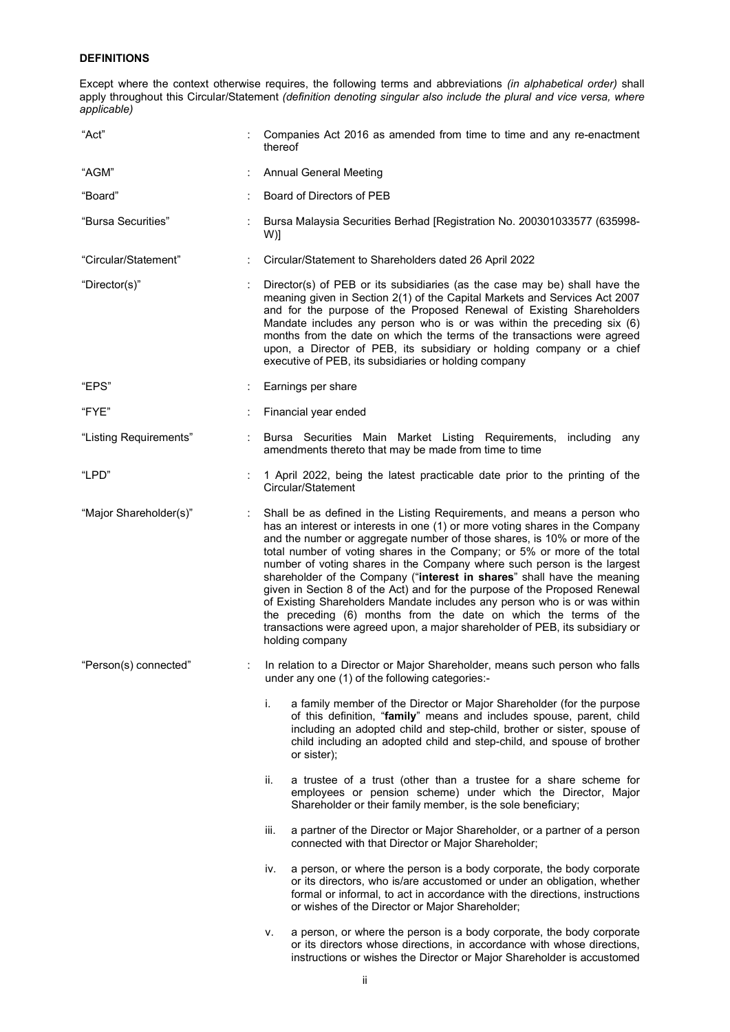### DEFINITIONS

Except where the context otherwise requires, the following terms and abbreviations (in alphabetical order) shall apply throughout this Circular/Statement (definition denoting singular also include the plural and vice versa, where applicable)

| "Act"                  | Companies Act 2016 as amended from time to time and any re-enactment<br>thereof                                                                                                                                                                                                                                                                                                                                                                                                                                                                                                                                                                                                                                                                                                                          |
|------------------------|----------------------------------------------------------------------------------------------------------------------------------------------------------------------------------------------------------------------------------------------------------------------------------------------------------------------------------------------------------------------------------------------------------------------------------------------------------------------------------------------------------------------------------------------------------------------------------------------------------------------------------------------------------------------------------------------------------------------------------------------------------------------------------------------------------|
| "AGM"                  | <b>Annual General Meeting</b>                                                                                                                                                                                                                                                                                                                                                                                                                                                                                                                                                                                                                                                                                                                                                                            |
| "Board"                | Board of Directors of PEB                                                                                                                                                                                                                                                                                                                                                                                                                                                                                                                                                                                                                                                                                                                                                                                |
| "Bursa Securities"     | Bursa Malaysia Securities Berhad [Registration No. 200301033577 (635998-<br>W)]                                                                                                                                                                                                                                                                                                                                                                                                                                                                                                                                                                                                                                                                                                                          |
| "Circular/Statement"   | Circular/Statement to Shareholders dated 26 April 2022                                                                                                                                                                                                                                                                                                                                                                                                                                                                                                                                                                                                                                                                                                                                                   |
| "Director(s)"          | Director(s) of PEB or its subsidiaries (as the case may be) shall have the<br>meaning given in Section 2(1) of the Capital Markets and Services Act 2007<br>and for the purpose of the Proposed Renewal of Existing Shareholders<br>Mandate includes any person who is or was within the preceding six (6)<br>months from the date on which the terms of the transactions were agreed<br>upon, a Director of PEB, its subsidiary or holding company or a chief<br>executive of PEB, its subsidiaries or holding company                                                                                                                                                                                                                                                                                  |
| "EPS"                  | Earnings per share                                                                                                                                                                                                                                                                                                                                                                                                                                                                                                                                                                                                                                                                                                                                                                                       |
| "FYE"                  | Financial year ended                                                                                                                                                                                                                                                                                                                                                                                                                                                                                                                                                                                                                                                                                                                                                                                     |
| "Listing Requirements" | Bursa Securities Main Market Listing Requirements,<br>including<br>any<br>amendments thereto that may be made from time to time                                                                                                                                                                                                                                                                                                                                                                                                                                                                                                                                                                                                                                                                          |
| "LPD"                  | 1 April 2022, being the latest practicable date prior to the printing of the<br>Circular/Statement                                                                                                                                                                                                                                                                                                                                                                                                                                                                                                                                                                                                                                                                                                       |
| "Major Shareholder(s)" | Shall be as defined in the Listing Requirements, and means a person who<br>has an interest or interests in one (1) or more voting shares in the Company<br>and the number or aggregate number of those shares, is 10% or more of the<br>total number of voting shares in the Company; or 5% or more of the total<br>number of voting shares in the Company where such person is the largest<br>shareholder of the Company ("interest in shares" shall have the meaning<br>given in Section 8 of the Act) and for the purpose of the Proposed Renewal<br>of Existing Shareholders Mandate includes any person who is or was within<br>the preceding (6) months from the date on which the terms of the<br>transactions were agreed upon, a major shareholder of PEB, its subsidiary or<br>holding company |
| "Person(s) connected"  | In relation to a Director or Major Shareholder, means such person who falls<br>under any one (1) of the following categories:-                                                                                                                                                                                                                                                                                                                                                                                                                                                                                                                                                                                                                                                                           |
|                        | i.<br>a family member of the Director or Major Shareholder (for the purpose<br>of this definition, "family" means and includes spouse, parent, child<br>including an adopted child and step-child, brother or sister, spouse of<br>child including an adopted child and step-child, and spouse of brother<br>or sister);                                                                                                                                                                                                                                                                                                                                                                                                                                                                                 |
|                        | a trustee of a trust (other than a trustee for a share scheme for<br>ii.<br>employees or pension scheme) under which the Director, Major<br>Shareholder or their family member, is the sole beneficiary;                                                                                                                                                                                                                                                                                                                                                                                                                                                                                                                                                                                                 |
|                        | a partner of the Director or Major Shareholder, or a partner of a person<br>iii.<br>connected with that Director or Major Shareholder;                                                                                                                                                                                                                                                                                                                                                                                                                                                                                                                                                                                                                                                                   |
|                        | a person, or where the person is a body corporate, the body corporate<br>İV.<br>or its directors, who is/are accustomed or under an obligation, whether<br>formal or informal, to act in accordance with the directions, instructions<br>or wishes of the Director or Major Shareholder;                                                                                                                                                                                                                                                                                                                                                                                                                                                                                                                 |
|                        | a person, or where the person is a body corporate, the body corporate<br>۷.<br>or its directors whose directions, in accordance with whose directions,<br>instructions or wishes the Director or Major Shareholder is accustomed                                                                                                                                                                                                                                                                                                                                                                                                                                                                                                                                                                         |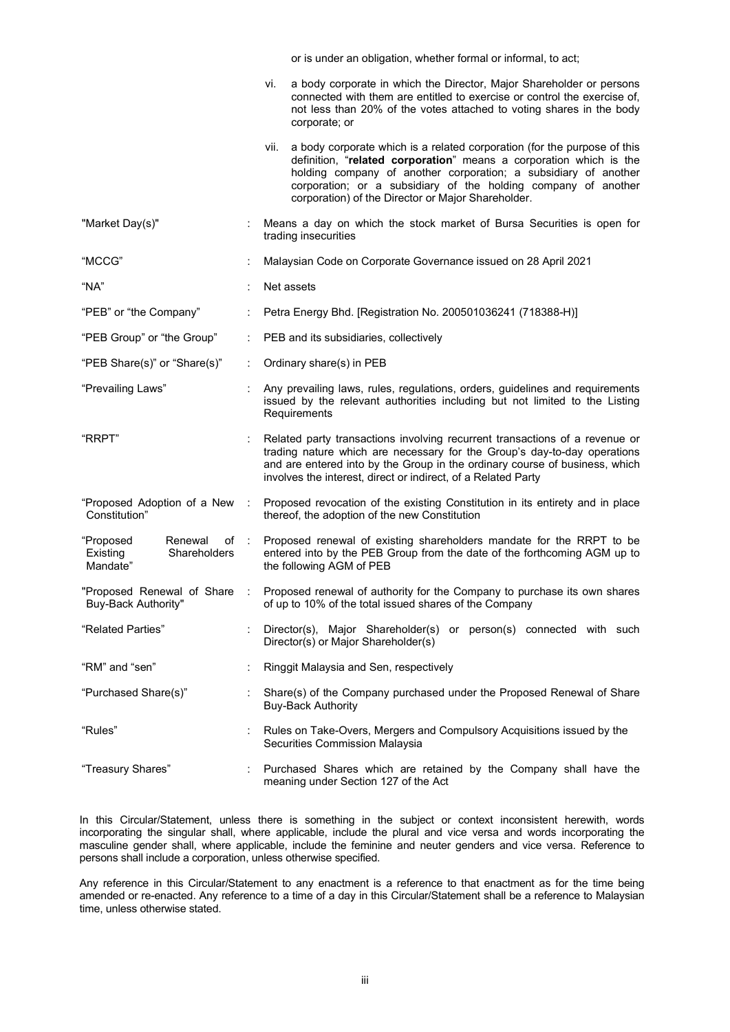|                                                                      |                      | or is under an obligation, whether formal or informal, to act;                                                                                                                                                                                                                                                                                    |
|----------------------------------------------------------------------|----------------------|---------------------------------------------------------------------------------------------------------------------------------------------------------------------------------------------------------------------------------------------------------------------------------------------------------------------------------------------------|
|                                                                      |                      | a body corporate in which the Director, Major Shareholder or persons<br>Vİ.<br>connected with them are entitled to exercise or control the exercise of,<br>not less than 20% of the votes attached to voting shares in the body<br>corporate; or                                                                                                  |
|                                                                      |                      | a body corporate which is a related corporation (for the purpose of this<br>vii.<br>definition, "related corporation" means a corporation which is the<br>holding company of another corporation; a subsidiary of another<br>corporation; or a subsidiary of the holding company of another<br>corporation) of the Director or Major Shareholder. |
| "Market Day(s)"                                                      |                      | Means a day on which the stock market of Bursa Securities is open for<br>trading insecurities                                                                                                                                                                                                                                                     |
| "MCCG"                                                               |                      | Malaysian Code on Corporate Governance issued on 28 April 2021                                                                                                                                                                                                                                                                                    |
| "NA"                                                                 |                      | Net assets                                                                                                                                                                                                                                                                                                                                        |
| "PEB" or "the Company"                                               | ÷                    | Petra Energy Bhd. [Registration No. 200501036241 (718388-H)]                                                                                                                                                                                                                                                                                      |
| "PEB Group" or "the Group"                                           | ÷                    | PEB and its subsidiaries, collectively                                                                                                                                                                                                                                                                                                            |
| "PEB Share(s)" or "Share(s)"                                         |                      | Ordinary share(s) in PEB                                                                                                                                                                                                                                                                                                                          |
| "Prevailing Laws"                                                    |                      | Any prevailing laws, rules, regulations, orders, guidelines and requirements<br>issued by the relevant authorities including but not limited to the Listing<br>Requirements                                                                                                                                                                       |
| "RRPT"                                                               |                      | Related party transactions involving recurrent transactions of a revenue or<br>trading nature which are necessary for the Group's day-to-day operations<br>and are entered into by the Group in the ordinary course of business, which<br>involves the interest, direct or indirect, of a Related Party                                           |
| "Proposed Adoption of a New<br>Constitution"                         | ÷                    | Proposed revocation of the existing Constitution in its entirety and in place<br>thereof, the adoption of the new Constitution                                                                                                                                                                                                                    |
| Renewal<br>of :<br>"Proposed<br>Shareholders<br>Existing<br>Mandate" |                      | Proposed renewal of existing shareholders mandate for the RRPT to be<br>entered into by the PEB Group from the date of the forthcoming AGM up to<br>the following AGM of PEB                                                                                                                                                                      |
| "Proposed Renewal of Share<br>Buy-Back Authority"                    |                      | Proposed renewal of authority for the Company to purchase its own shares<br>of up to 10% of the total issued shares of the Company                                                                                                                                                                                                                |
| "Related Parties"                                                    | ÷                    | Director(s), Major Shareholder(s) or person(s) connected with such<br>Director(s) or Major Shareholder(s)                                                                                                                                                                                                                                         |
| "RM" and "sen"                                                       | $\ddot{\phantom{a}}$ | Ringgit Malaysia and Sen, respectively                                                                                                                                                                                                                                                                                                            |
| "Purchased Share(s)"                                                 |                      | Share(s) of the Company purchased under the Proposed Renewal of Share<br><b>Buy-Back Authority</b>                                                                                                                                                                                                                                                |
| "Rules"                                                              | t                    | Rules on Take-Overs, Mergers and Compulsory Acquisitions issued by the<br>Securities Commission Malaysia                                                                                                                                                                                                                                          |
| "Treasury Shares"                                                    | ÷                    | Purchased Shares which are retained by the Company shall have the<br>meaning under Section 127 of the Act                                                                                                                                                                                                                                         |

In this Circular/Statement, unless there is something in the subject or context inconsistent herewith, words incorporating the singular shall, where applicable, include the plural and vice versa and words incorporating the masculine gender shall, where applicable, include the feminine and neuter genders and vice versa. Reference to persons shall include a corporation, unless otherwise specified.

Any reference in this Circular/Statement to any enactment is a reference to that enactment as for the time being amended or re-enacted. Any reference to a time of a day in this Circular/Statement shall be a reference to Malaysian time, unless otherwise stated.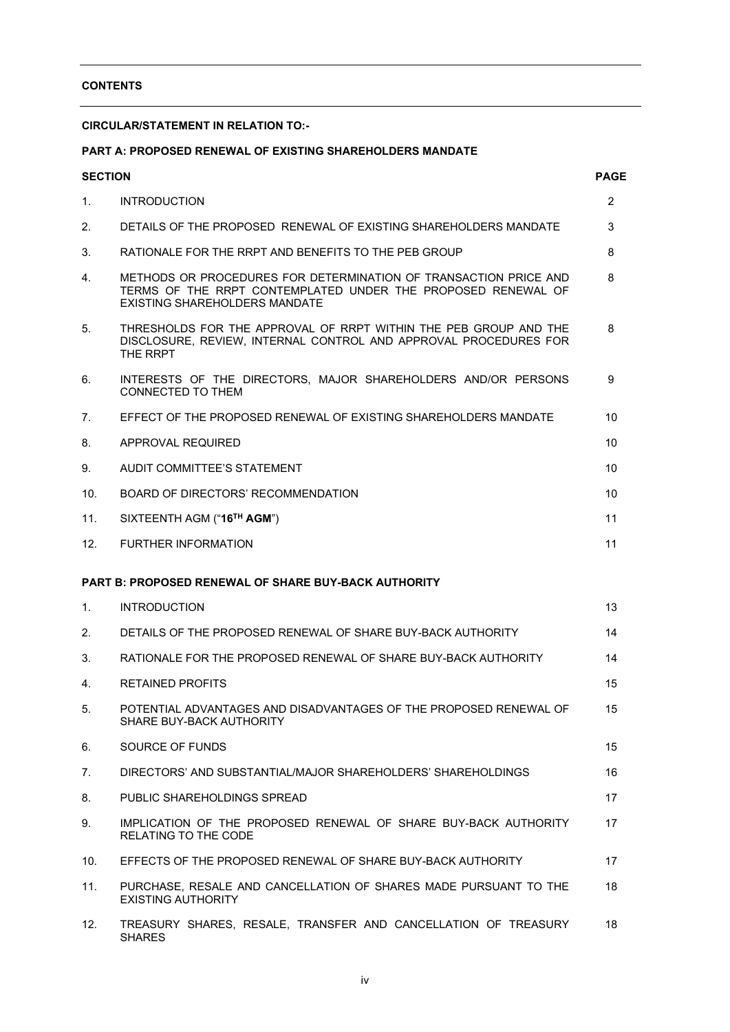### CONTENTS

### CIRCULAR/STATEMENT IN RELATION TO:-

### PART A: PROPOSED RENEWAL OF EXISTING SHAREHOLDERS MANDATE

| <b>SECTION</b> |                                                                                                                                                                          | <b>PAGE</b>    |
|----------------|--------------------------------------------------------------------------------------------------------------------------------------------------------------------------|----------------|
| 1.             | <b>INTRODUCTION</b>                                                                                                                                                      | $\overline{2}$ |
| 2.             | DETAILS OF THE PROPOSED RENEWAL OF EXISTING SHAREHOLDERS MANDATE                                                                                                         | 3              |
| 3.             | RATIONALE FOR THE RRPT AND BENEFITS TO THE PEB GROUP                                                                                                                     | 8              |
| 4.             | METHODS OR PROCEDURES FOR DETERMINATION OF TRANSACTION PRICE AND<br>TERMS OF THE RRPT CONTEMPLATED UNDER THE PROPOSED RENEWAL OF<br><b>EXISTING SHAREHOLDERS MANDATE</b> | 8              |
| 5.             | THRESHOLDS FOR THE APPROVAL OF RRPT WITHIN THE PEB GROUP AND THE<br>DISCLOSURE, REVIEW, INTERNAL CONTROL AND APPROVAL PROCEDURES FOR<br>THE RRPT                         | 8              |
| 6.             | INTERESTS OF THE DIRECTORS, MAJOR SHAREHOLDERS AND/OR PERSONS<br><b>CONNECTED TO THEM</b>                                                                                | 9              |
| 7.             | EFFECT OF THE PROPOSED RENEWAL OF EXISTING SHAREHOLDERS MANDATE                                                                                                          | 10             |
| 8.             | APPROVAL REQUIRED                                                                                                                                                        | 10             |
| 9.             | AUDIT COMMITTEE'S STATEMENT                                                                                                                                              | 10             |
| 10.            | <b>BOARD OF DIRECTORS' RECOMMENDATION</b>                                                                                                                                | 10             |
| 11.            | SIXTEENTH AGM ("16TH AGM")                                                                                                                                               | 11             |
| 12.            | <b>FURTHER INFORMATION</b>                                                                                                                                               | 11             |
|                | <b>PART B: PROPOSED RENEWAL OF SHARE BUY-BACK AUTHORITY</b>                                                                                                              |                |
| 1 <sub>1</sub> | <b>INTRODUCTION</b>                                                                                                                                                      | 13             |
| 2.             | DETAILS OF THE PROPOSED RENEWAL OF SHARE BUY-BACK AUTHORITY                                                                                                              | 14             |
| 3.             | RATIONALE FOR THE PROPOSED RENEWAL OF SHARE BUY-BACK AUTHORITY                                                                                                           | 14             |
| 4.             | <b>RETAINED PROFITS</b>                                                                                                                                                  | 15             |
| 5.             | POTENTIAL ADVANTAGES AND DISADVANTAGES OF THE PROPOSED RENEWAL OF<br>SHARE BUY-BACK AUTHORITY                                                                            | 15             |
| 6.             | SOURCE OF FUNDS                                                                                                                                                          | 15             |
| 7.             | DIRECTORS' AND SUBSTANTIAL/MAJOR SHAREHOLDERS' SHAREHOLDINGS                                                                                                             | 16             |
| 8.             | PUBLIC SHAREHOLDINGS SPREAD                                                                                                                                              | 17             |
| 9.             | IMPLICATION OF THE PROPOSED RENEWAL OF SHARE BUY-BACK AUTHORITY<br><b>RELATING TO THE CODE</b>                                                                           | 17             |
| 10.            | EFFECTS OF THE PROPOSED RENEWAL OF SHARE BUY-BACK AUTHORITY                                                                                                              | 17             |
| 11.            | PURCHASE, RESALE AND CANCELLATION OF SHARES MADE PURSUANT TO THE<br><b>EXISTING AUTHORITY</b>                                                                            | 18             |
| 12.            | TREASURY SHARES, RESALE, TRANSFER AND CANCELLATION OF TREASURY<br><b>SHARES</b>                                                                                          | 18             |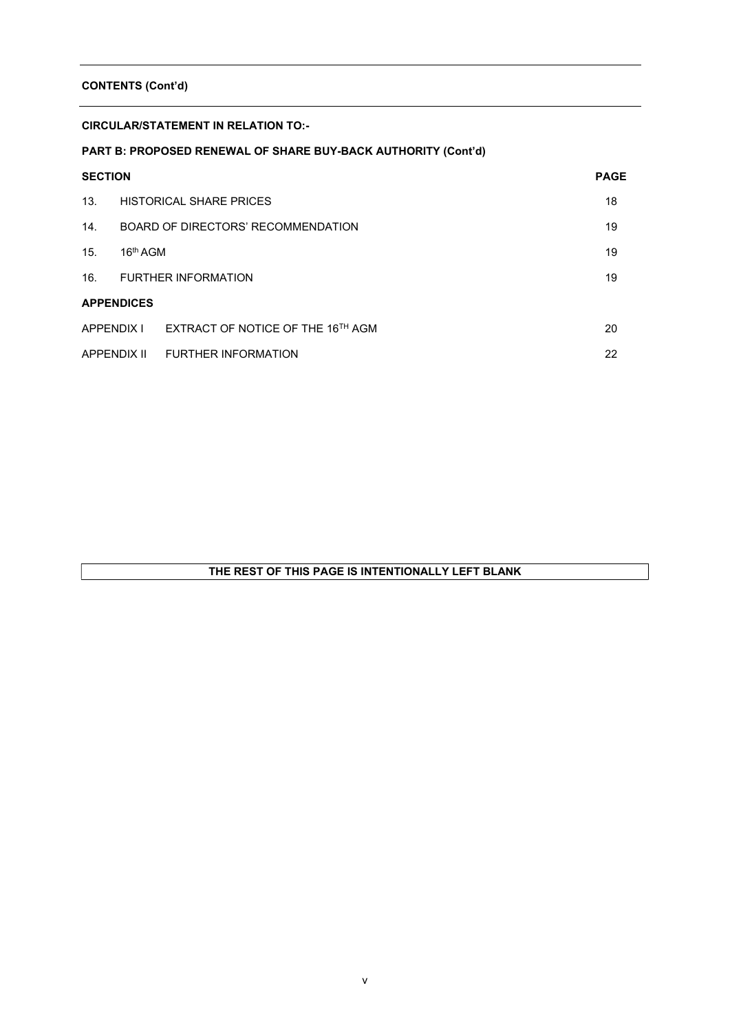### CONTENTS (Cont'd)

### CIRCULAR/STATEMENT IN RELATION TO:-

# PART B: PROPOSED RENEWAL OF SHARE BUY-BACK AUTHORITY (Cont'd)

| <b>SECTION</b>    |                      |                                    | <b>PAGE</b> |
|-------------------|----------------------|------------------------------------|-------------|
| 13.               |                      | <b>HISTORICAL SHARE PRICES</b>     | 18          |
| 14 <sup>1</sup>   |                      | BOARD OF DIRECTORS' RECOMMENDATION | 19          |
| 15.               | 16 <sup>th</sup> AGM |                                    | 19          |
| 16.               |                      | <b>FURTHER INFORMATION</b>         | 19          |
| <b>APPENDICES</b> |                      |                                    |             |
| APPENDIX I        |                      | EXTRACT OF NOTICE OF THE 16TH AGM  | 20          |
| APPENDIX II       |                      | <b>FURTHER INFORMATION</b>         | 22          |

# THE REST OF THIS PAGE IS INTENTIONALLY LEFT BLANK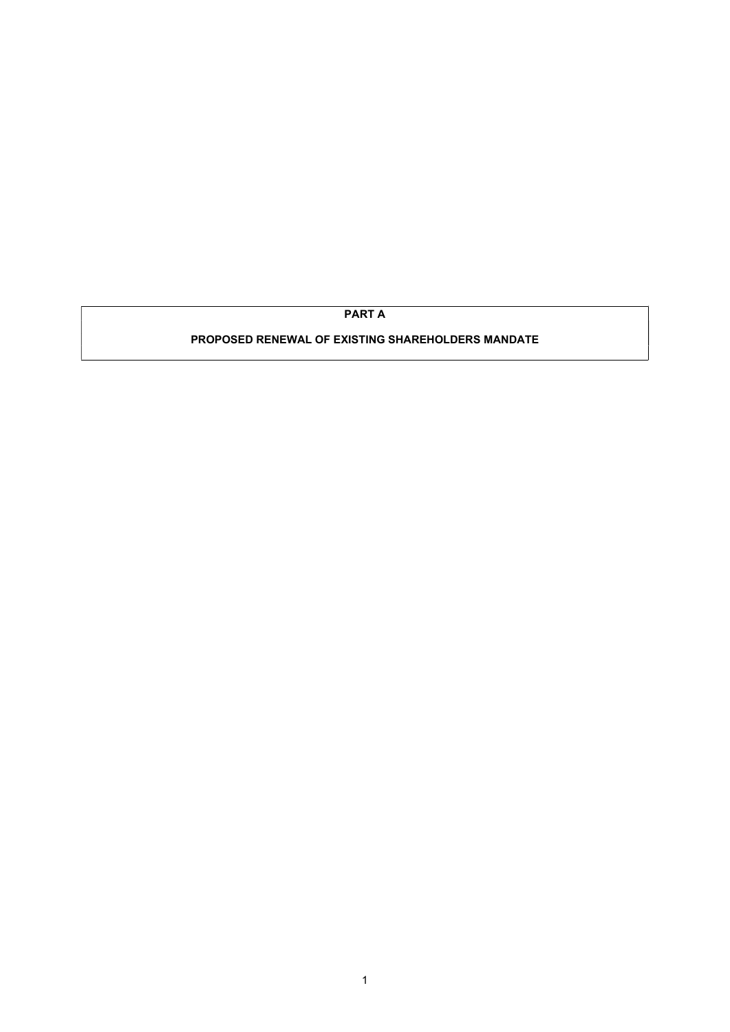PART A

## PROPOSED RENEWAL OF EXISTING SHAREHOLDERS MANDATE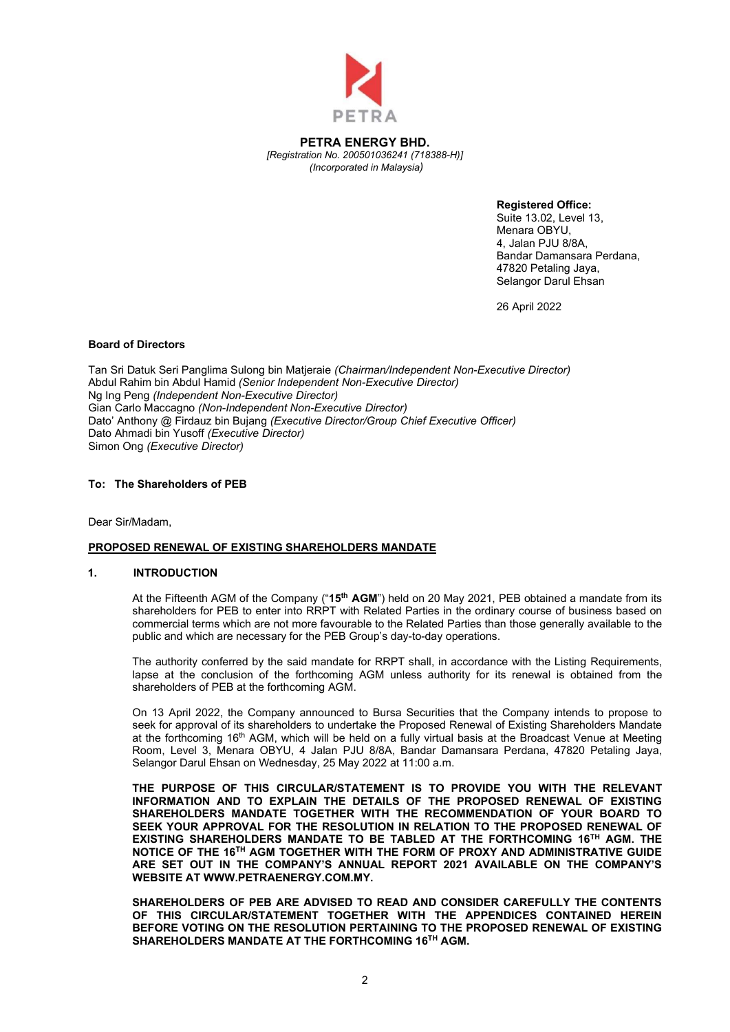

PETRA ENERGY BHD. [Registration No. 200501036241 (718388-H)] (Incorporated in Malaysia)

Registered Office:

Suite 13.02, Level 13, Menara OBYU, 4, Jalan PJU 8/8A, Bandar Damansara Perdana, 47820 Petaling Jaya, Selangor Darul Ehsan

26 April 2022

#### Board of Directors

Tan Sri Datuk Seri Panglima Sulong bin Matjeraie (Chairman/Independent Non-Executive Director) Abdul Rahim bin Abdul Hamid (Senior Independent Non-Executive Director) Ng Ing Peng (Independent Non-Executive Director) Gian Carlo Maccagno (Non-Independent Non-Executive Director) Dato' Anthony @ Firdauz bin Bujang (Executive Director/Group Chief Executive Officer) Dato Ahmadi bin Yusoff (Executive Director) Simon Ong (Executive Director)

### To: The Shareholders of PEB

Dear Sir/Madam,

#### PROPOSED RENEWAL OF EXISTING SHAREHOLDERS MANDATE

#### 1. INTRODUCTION

At the Fifteenth AGM of the Company ("15<sup>th</sup> AGM") held on 20 May 2021, PEB obtained a mandate from its shareholders for PEB to enter into RRPT with Related Parties in the ordinary course of business based on commercial terms which are not more favourable to the Related Parties than those generally available to the public and which are necessary for the PEB Group's day-to-day operations.

The authority conferred by the said mandate for RRPT shall, in accordance with the Listing Requirements, lapse at the conclusion of the forthcoming AGM unless authority for its renewal is obtained from the shareholders of PEB at the forthcoming AGM.

On 13 April 2022, the Company announced to Bursa Securities that the Company intends to propose to seek for approval of its shareholders to undertake the Proposed Renewal of Existing Shareholders Mandate at the forthcoming 16<sup>th</sup> AGM, which will be held on a fully virtual basis at the Broadcast Venue at Meeting Room, Level 3, Menara OBYU, 4 Jalan PJU 8/8A, Bandar Damansara Perdana, 47820 Petaling Jaya, Selangor Darul Ehsan on Wednesday, 25 May 2022 at 11:00 a.m.

THE PURPOSE OF THIS CIRCULAR/STATEMENT IS TO PROVIDE YOU WITH THE RELEVANT INFORMATION AND TO EXPLAIN THE DETAILS OF THE PROPOSED RENEWAL OF EXISTING SHAREHOLDERS MANDATE TOGETHER WITH THE RECOMMENDATION OF YOUR BOARD TO SEEK YOUR APPROVAL FOR THE RESOLUTION IN RELATION TO THE PROPOSED RENEWAL OF EXISTING SHAREHOLDERS MANDATE TO BE TABLED AT THE FORTHCOMING 16TH AGM. THE NOTICE OF THE 16TH AGM TOGETHER WITH THE FORM OF PROXY AND ADMINISTRATIVE GUIDE ARE SET OUT IN THE COMPANY'S ANNUAL REPORT 2021 AVAILABLE ON THE COMPANY'S WEBSITE AT WWW.PETRAENERGY.COM.MY.

SHAREHOLDERS OF PEB ARE ADVISED TO READ AND CONSIDER CAREFULLY THE CONTENTS OF THIS CIRCULAR/STATEMENT TOGETHER WITH THE APPENDICES CONTAINED HEREIN BEFORE VOTING ON THE RESOLUTION PERTAINING TO THE PROPOSED RENEWAL OF EXISTING SHAREHOLDERS MANDATE AT THE FORTHCOMING 16TH AGM.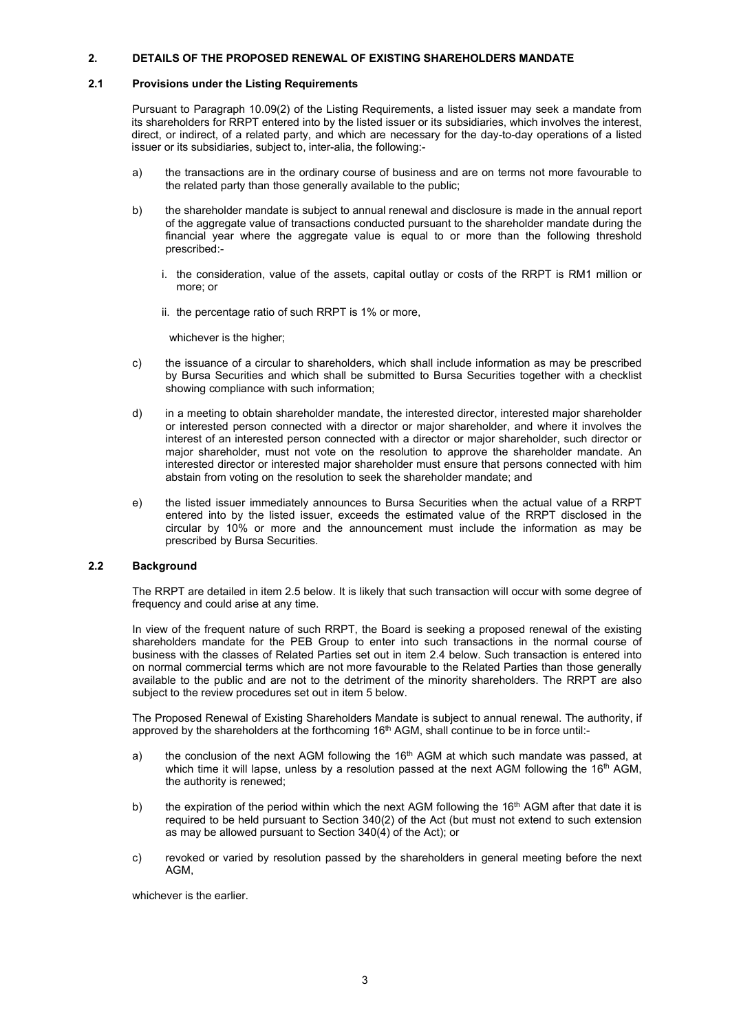### 2. DETAILS OF THE PROPOSED RENEWAL OF EXISTING SHAREHOLDERS MANDATE

### 2.1 Provisions under the Listing Requirements

 Pursuant to Paragraph 10.09(2) of the Listing Requirements, a listed issuer may seek a mandate from its shareholders for RRPT entered into by the listed issuer or its subsidiaries, which involves the interest, direct, or indirect, of a related party, and which are necessary for the day-to-day operations of a listed issuer or its subsidiaries, subject to, inter-alia, the following:-

- a) the transactions are in the ordinary course of business and are on terms not more favourable to the related party than those generally available to the public;
- b) the shareholder mandate is subject to annual renewal and disclosure is made in the annual report of the aggregate value of transactions conducted pursuant to the shareholder mandate during the financial year where the aggregate value is equal to or more than the following threshold prescribed:
	- i. the consideration, value of the assets, capital outlay or costs of the RRPT is RM1 million or more; or
	- ii. the percentage ratio of such RRPT is 1% or more,

whichever is the higher;

- c) the issuance of a circular to shareholders, which shall include information as may be prescribed by Bursa Securities and which shall be submitted to Bursa Securities together with a checklist showing compliance with such information;
- d) in a meeting to obtain shareholder mandate, the interested director, interested major shareholder or interested person connected with a director or major shareholder, and where it involves the interest of an interested person connected with a director or major shareholder, such director or major shareholder, must not vote on the resolution to approve the shareholder mandate. An interested director or interested major shareholder must ensure that persons connected with him abstain from voting on the resolution to seek the shareholder mandate; and
- e) the listed issuer immediately announces to Bursa Securities when the actual value of a RRPT entered into by the listed issuer, exceeds the estimated value of the RRPT disclosed in the circular by 10% or more and the announcement must include the information as may be prescribed by Bursa Securities.

### 2.2 Background

The RRPT are detailed in item 2.5 below. It is likely that such transaction will occur with some degree of frequency and could arise at any time.

In view of the frequent nature of such RRPT, the Board is seeking a proposed renewal of the existing shareholders mandate for the PEB Group to enter into such transactions in the normal course of business with the classes of Related Parties set out in item 2.4 below. Such transaction is entered into on normal commercial terms which are not more favourable to the Related Parties than those generally available to the public and are not to the detriment of the minority shareholders. The RRPT are also subject to the review procedures set out in item 5 below.

The Proposed Renewal of Existing Shareholders Mandate is subject to annual renewal. The authority, if approved by the shareholders at the forthcoming 16<sup>th</sup> AGM, shall continue to be in force until:-

- a) the conclusion of the next AGM following the  $16<sup>th</sup>$  AGM at which such mandate was passed, at which time it will lapse, unless by a resolution passed at the next AGM following the  $16<sup>th</sup>$  AGM, the authority is renewed;
- b) the expiration of the period within which the next AGM following the 16<sup>th</sup> AGM after that date it is required to be held pursuant to Section 340(2) of the Act (but must not extend to such extension as may be allowed pursuant to Section 340(4) of the Act); or
- c) revoked or varied by resolution passed by the shareholders in general meeting before the next AGM,

whichever is the earlier.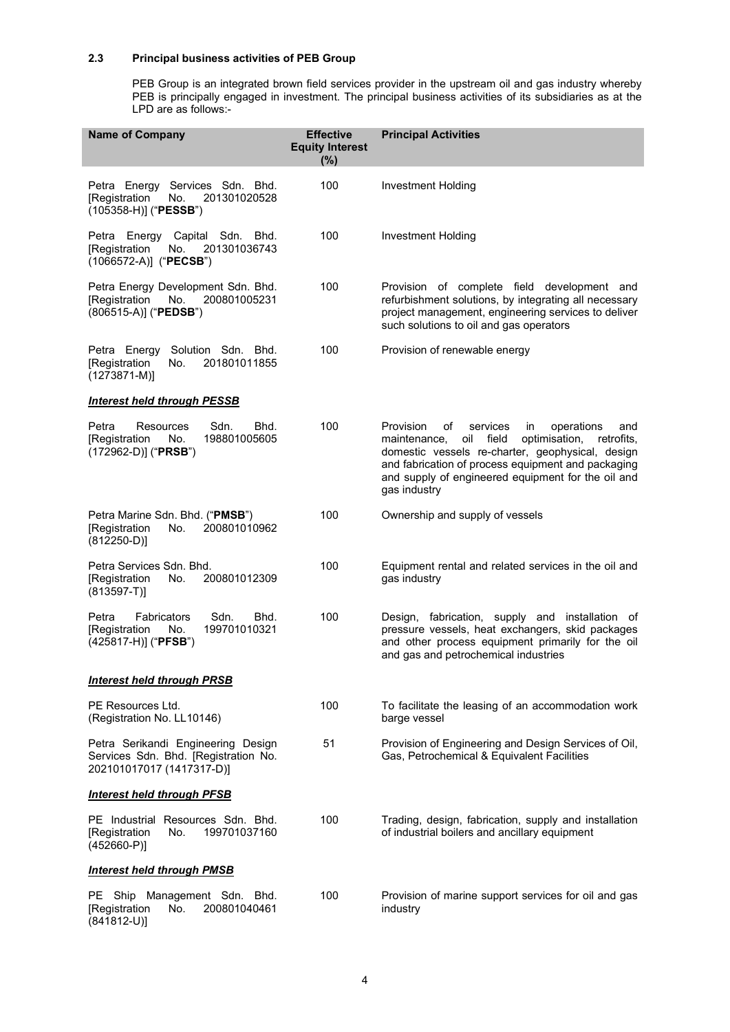### 2.3 Principal business activities of PEB Group

 PEB Group is an integrated brown field services provider in the upstream oil and gas industry whereby PEB is principally engaged in investment. The principal business activities of its subsidiaries as at the LPD are as follows:-

| <b>Name of Company</b>                                                                                      | <b>Effective</b><br><b>Equity Interest</b><br>(%) | <b>Principal Activities</b>                                                                                                                                                                                                                                                                           |
|-------------------------------------------------------------------------------------------------------------|---------------------------------------------------|-------------------------------------------------------------------------------------------------------------------------------------------------------------------------------------------------------------------------------------------------------------------------------------------------------|
| Petra Energy Services Sdn. Bhd.<br>201301020528<br>[Registration<br>No.<br>(105358-H)] ("PESSB")            | 100                                               | Investment Holding                                                                                                                                                                                                                                                                                    |
| Petra Energy Capital Sdn. Bhd.<br>201301036743<br>[Registration<br>No.<br>(1066572-A)] ("PECSB")            | 100                                               | <b>Investment Holding</b>                                                                                                                                                                                                                                                                             |
| Petra Energy Development Sdn. Bhd.<br>200801005231<br>[Registration<br>No.<br>(806515-A)] ("PEDSB")         | 100                                               | Provision of complete field development and<br>refurbishment solutions, by integrating all necessary<br>project management, engineering services to deliver<br>such solutions to oil and gas operators                                                                                                |
| Solution Sdn. Bhd.<br>Petra Energy<br>[Registration<br>201801011855<br>No.<br>$(1273871 - M)]$              | 100                                               | Provision of renewable energy                                                                                                                                                                                                                                                                         |
| <b>Interest held through PESSB</b>                                                                          |                                                   |                                                                                                                                                                                                                                                                                                       |
| Petra<br><b>Resources</b><br>Sdn.<br>Bhd.<br>198801005605<br>[Registration<br>No.<br>(172962-D)] ("PRSB")   | 100                                               | Provision<br>of<br>services<br>operations<br>in<br>and<br>oil<br>optimisation,<br>field<br>retrofits.<br>maintenance,<br>domestic vessels re-charter, geophysical, design<br>and fabrication of process equipment and packaging<br>and supply of engineered equipment for the oil and<br>gas industry |
| Petra Marine Sdn. Bhd. ("PMSB")<br>200801010962<br>[Registration<br>No.<br>$(812250-D)]$                    | 100                                               | Ownership and supply of vessels                                                                                                                                                                                                                                                                       |
| Petra Services Sdn. Bhd.<br>[Registration<br>No.<br>200801012309<br>$(813597-T)$                            | 100                                               | Equipment rental and related services in the oil and<br>gas industry                                                                                                                                                                                                                                  |
| Sdn.<br>Petra<br><b>Fabricators</b><br>Bhd.<br>199701010321<br>[Registration<br>No.<br>(425817-H)] ("PFSB") | 100                                               | Design, fabrication, supply and installation of<br>pressure vessels, heat exchangers, skid packages<br>and other process equipment primarily for the oil<br>and gas and petrochemical industries                                                                                                      |
| <b>Interest held through PRSB</b>                                                                           |                                                   |                                                                                                                                                                                                                                                                                                       |
| PE Resources Ltd.<br>(Registration No. LL10146)                                                             | 100                                               | To facilitate the leasing of an accommodation work<br>barge vessel                                                                                                                                                                                                                                    |
| Petra Serikandi Engineering Design<br>Services Sdn. Bhd. [Registration No.<br>202101017017 (1417317-D)]     | 51                                                | Provision of Engineering and Design Services of Oil,<br>Gas, Petrochemical & Equivalent Facilities                                                                                                                                                                                                    |
| <b>Interest held through PFSB</b>                                                                           |                                                   |                                                                                                                                                                                                                                                                                                       |
| PE Industrial Resources Sdn. Bhd.<br>[Registration<br>No.<br>199701037160<br>$(452660-P)]$                  | 100                                               | Trading, design, fabrication, supply and installation<br>of industrial boilers and ancillary equipment                                                                                                                                                                                                |
| <b>Interest held through PMSB</b>                                                                           |                                                   |                                                                                                                                                                                                                                                                                                       |
| PE Ship Management Sdn. Bhd.<br>200801040461<br>[Registration<br>No.<br>$(841812-U)]$                       | 100                                               | Provision of marine support services for oil and gas<br>industry                                                                                                                                                                                                                                      |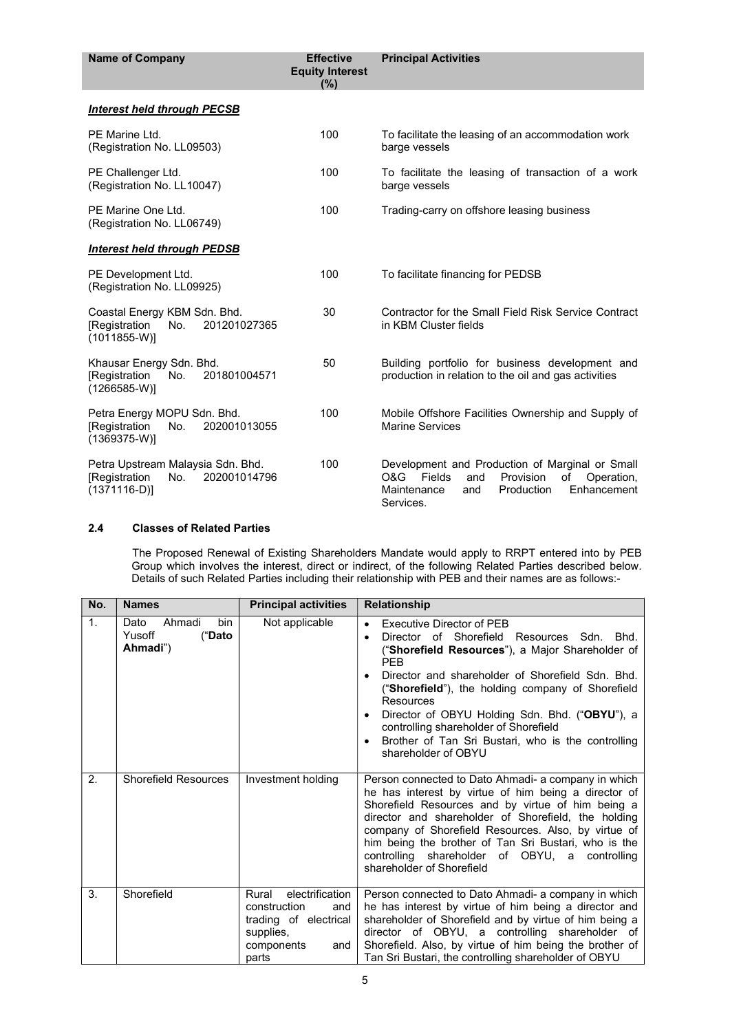| <b>Name of Company</b>                                                                     | <b>Effective</b><br><b>Equity Interest</b><br>(%) | <b>Principal Activities</b>                                                                                                                                              |
|--------------------------------------------------------------------------------------------|---------------------------------------------------|--------------------------------------------------------------------------------------------------------------------------------------------------------------------------|
| Interest held through PECSB                                                                |                                                   |                                                                                                                                                                          |
| PE Marine Ltd.<br>(Registration No. LL09503)                                               | 100                                               | To facilitate the leasing of an accommodation work<br>barge vessels                                                                                                      |
| PE Challenger Ltd.<br>(Registration No. LL10047)                                           | 100                                               | To facilitate the leasing of transaction of a work<br>barge vessels                                                                                                      |
| PE Marine One Ltd.<br>(Registration No. LL06749)                                           | 100                                               | Trading-carry on offshore leasing business                                                                                                                               |
| <b>Interest held through PEDSB</b>                                                         |                                                   |                                                                                                                                                                          |
| PE Development Ltd.<br>(Registration No. LL09925)                                          | 100                                               | To facilitate financing for PEDSB                                                                                                                                        |
| Coastal Energy KBM Sdn. Bhd.<br>[Registration<br>201201027365<br>No.<br>$(1011855-W)$      | 30                                                | Contractor for the Small Field Risk Service Contract<br>in KBM Cluster fields                                                                                            |
| Khausar Energy Sdn. Bhd.<br>[Registration<br>201801004571<br>No.<br>$(1266585-W)$          | 50                                                | Building portfolio for business development and<br>production in relation to the oil and gas activities                                                                  |
| Petra Energy MOPU Sdn. Bhd.<br>[Registration<br>No.<br>202001013055<br>$(1369375-W)$       | 100                                               | Mobile Offshore Facilities Ownership and Supply of<br><b>Marine Services</b>                                                                                             |
| Petra Upstream Malaysia Sdn. Bhd.<br>202001014796<br>[Registration<br>No.<br>$(1371116-D)$ | 100                                               | Development and Production of Marginal or Small<br>O&G<br>Fields<br>Provision<br>of<br>Operation,<br>and<br>Enhancement<br>Maintenance<br>Production<br>and<br>Services. |

### 2.4 Classes of Related Parties

 The Proposed Renewal of Existing Shareholders Mandate would apply to RRPT entered into by PEB Group which involves the interest, direct or indirect, of the following Related Parties described below. Details of such Related Parties including their relationship with PEB and their names are as follows:-

| No. | <b>Names</b>                                          | <b>Principal activities</b>                                                                                         | <b>Relationship</b>                                                                                                                                                                                                                                                                                                                                                                                                                                                                                   |
|-----|-------------------------------------------------------|---------------------------------------------------------------------------------------------------------------------|-------------------------------------------------------------------------------------------------------------------------------------------------------------------------------------------------------------------------------------------------------------------------------------------------------------------------------------------------------------------------------------------------------------------------------------------------------------------------------------------------------|
| 1.  | Ahmadi<br>bin<br>Dato<br>Yusoff<br>("Dato<br>Ahmadi") | Not applicable                                                                                                      | <b>Executive Director of PEB</b><br>$\bullet$<br>Director of Shorefield<br>Resources Sdn. Bhd.<br>("Shorefield Resources"), a Major Shareholder of<br><b>PFB</b><br>Director and shareholder of Shorefield Sdn. Bhd.<br>$\bullet$<br>("Shorefield"), the holding company of Shorefield<br>Resources<br>Director of OBYU Holding Sdn. Bhd. ("OBYU"), a<br>$\bullet$<br>controlling shareholder of Shorefield<br>Brother of Tan Sri Bustari, who is the controlling<br>$\bullet$<br>shareholder of OBYU |
| 2.  | <b>Shorefield Resources</b>                           | Investment holding                                                                                                  | Person connected to Dato Ahmadi- a company in which<br>he has interest by virtue of him being a director of<br>Shorefield Resources and by virtue of him being a<br>director and shareholder of Shorefield, the holding<br>company of Shorefield Resources. Also, by virtue of<br>him being the brother of Tan Sri Bustari, who is the<br>controlling shareholder of OBYU, a controlling<br>shareholder of Shorefield                                                                                 |
| 3.  | Shorefield                                            | electrification<br>Rural<br>construction<br>and<br>trading of electrical<br>supplies,<br>components<br>and<br>parts | Person connected to Dato Ahmadi- a company in which<br>he has interest by virtue of him being a director and<br>shareholder of Shorefield and by virtue of him being a<br>director of OBYU, a controlling shareholder of<br>Shorefield. Also, by virtue of him being the brother of<br>Tan Sri Bustari, the controlling shareholder of OBYU                                                                                                                                                           |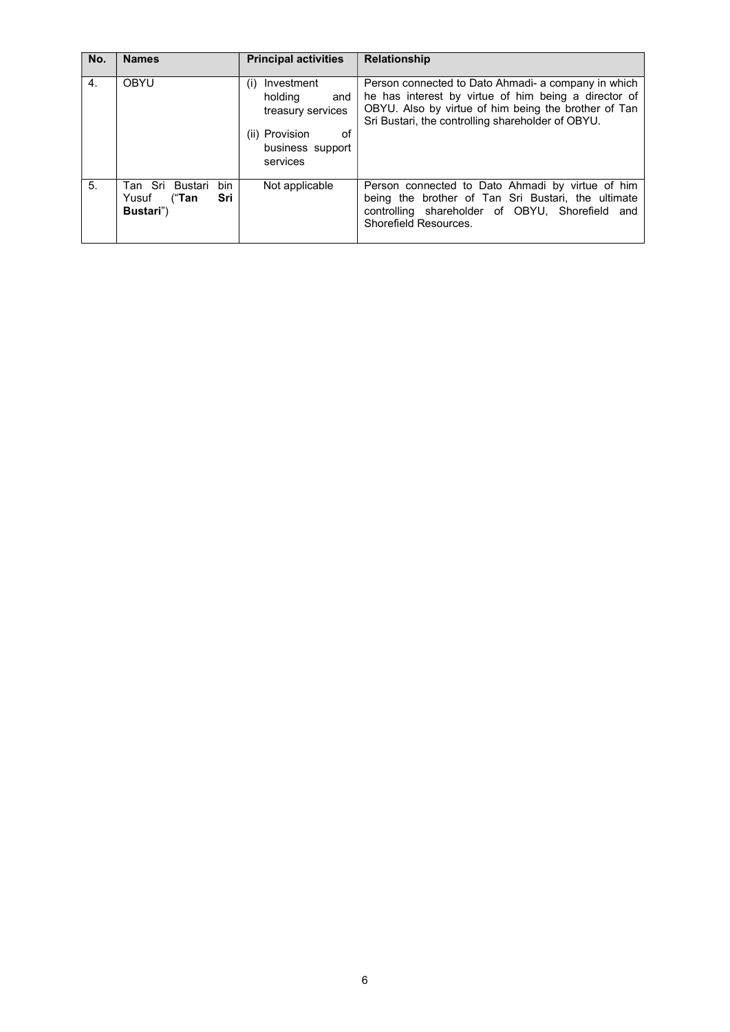| No.            | <b>Names</b>                                                 | <b>Principal activities</b>                                                                                      | <b>Relationship</b>                                                                                                                                                                                                      |
|----------------|--------------------------------------------------------------|------------------------------------------------------------------------------------------------------------------|--------------------------------------------------------------------------------------------------------------------------------------------------------------------------------------------------------------------------|
| $\mathbf{4}$ . | <b>OBYU</b>                                                  | Investment<br>(i)<br>holding<br>and<br>treasury services<br>(ii) Provision<br>of<br>business support<br>services | Person connected to Dato Ahmadi- a company in which<br>he has interest by virtue of him being a director of<br>OBYU. Also by virtue of him being the brother of Tan<br>Sri Bustari, the controlling shareholder of OBYU. |
| 5.             | bin<br>Tan Sri Bustari<br>Sri<br>("Tan<br>Yusuf<br>Bustari") | Not applicable                                                                                                   | Person connected to Dato Ahmadi by virtue of him<br>being the brother of Tan Sri Bustari, the ultimate<br>controlling shareholder of OBYU, Shorefield and<br>Shorefield Resources.                                       |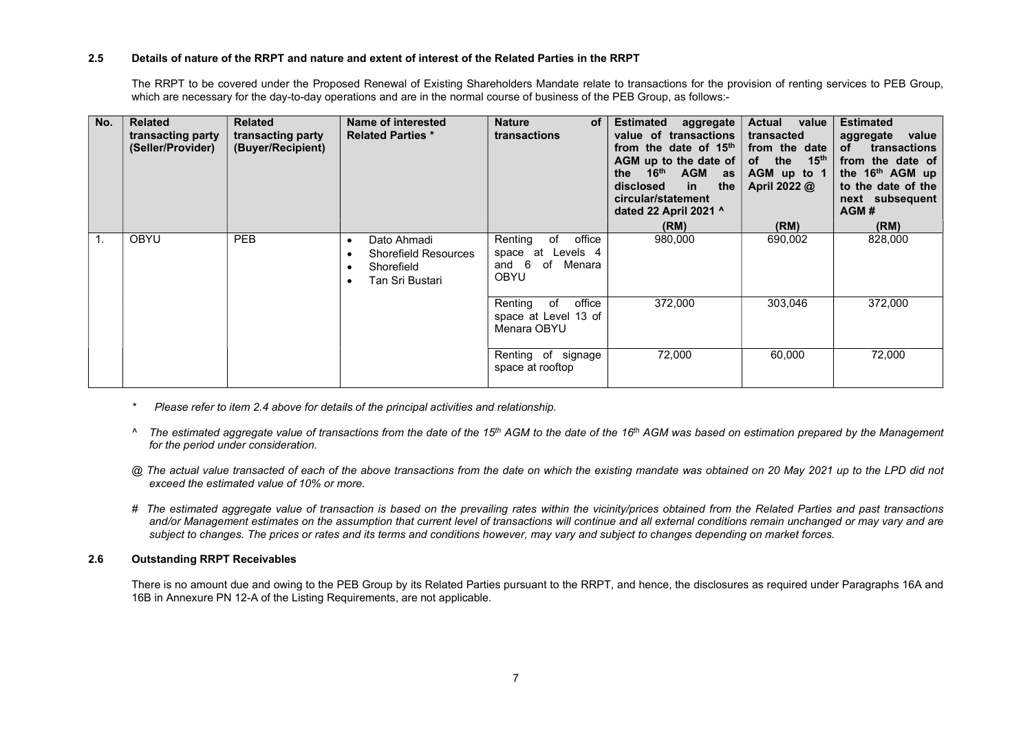#### 2.5 Details of nature of the RRPT and nature and extent of interest of the Related Parties in the RRPT

The RRPT to be covered under the Proposed Renewal of Existing Shareholders Mandate relate to transactions for the provision of renting services to PEB Group, which are necessary for the day-to-day operations and are in the normal course of business of the PEB Group, as follows:-

| No. | <b>Related</b><br>transacting party<br>(Seller/Provider) | <b>Related</b><br>transacting party<br>(Buyer/Recipient) | Name of interested<br><b>Related Parties *</b>                                           | <b>Nature</b><br><b>of</b><br>transactions                                                     | <b>Estimated</b><br>aggregate<br>value of transactions<br>from the date of 15 <sup>th</sup><br>AGM up to the date of<br>the 16 <sup>th</sup><br><b>AGM</b><br>as<br>disclosed<br>the<br>in<br>circular/statement<br>dated 22 April 2021 ^<br>(RM) | <b>Actual</b><br>value<br>transacted<br>from the date<br>of the<br>$15^{\text{th}}$<br>AGM up to 1<br>April 2022 @<br>(RM) | <b>Estimated</b><br>aggregate<br>value<br>οf<br>transactions<br>from the date of<br>the 16th AGM up<br>to the date of the<br>next subsequent<br>AGM#<br>(RM) |
|-----|----------------------------------------------------------|----------------------------------------------------------|------------------------------------------------------------------------------------------|------------------------------------------------------------------------------------------------|---------------------------------------------------------------------------------------------------------------------------------------------------------------------------------------------------------------------------------------------------|----------------------------------------------------------------------------------------------------------------------------|--------------------------------------------------------------------------------------------------------------------------------------------------------------|
|     | <b>OBYU</b>                                              | <b>PEB</b>                                               | Dato Ahmadi<br>$\bullet$<br><b>Shorefield Resources</b><br>Shorefield<br>Tan Sri Bustari | office<br>Renting<br>of<br>Levels 4<br>space<br>at<br>-6<br>of<br>Menara<br>and<br><b>OBYU</b> | 980,000                                                                                                                                                                                                                                           | 690,002                                                                                                                    | 828,000                                                                                                                                                      |
|     |                                                          |                                                          |                                                                                          | office<br>Renting<br>of<br>space at Level 13 of<br>Menara OBYU                                 | 372,000                                                                                                                                                                                                                                           | 303,046                                                                                                                    | 372,000                                                                                                                                                      |
|     |                                                          |                                                          |                                                                                          | Renting of signage<br>space at rooftop                                                         | 72,000                                                                                                                                                                                                                                            | 60,000                                                                                                                     | 72,000                                                                                                                                                       |

- \* Please refer to item 2.4 above for details of the principal activities and relationship.
- $\wedge$  The estimated aggregate value of transactions from the date of the 15<sup>th</sup> AGM to the date of the 16<sup>th</sup> AGM was based on estimation prepared by the Management for the period under consideration.
- @ The actual value transacted of each of the above transactions from the date on which the existing mandate was obtained on 20 May 2021 up to the LPD did not exceed the estimated value of 10% or more.
- # The estimated aggregate value of transaction is based on the prevailing rates within the vicinity/prices obtained from the Related Parties and past transactions and/or Management estimates on the assumption that current level of transactions will continue and all external conditions remain unchanged or may vary and are subject to changes. The prices or rates and its terms and conditions however, may vary and subject to changes depending on market forces.

#### 2.6 Outstanding RRPT Receivables

There is no amount due and owing to the PEB Group by its Related Parties pursuant to the RRPT, and hence, the disclosures as required under Paragraphs 16A and 16B in Annexure PN 12-A of the Listing Requirements, are not applicable.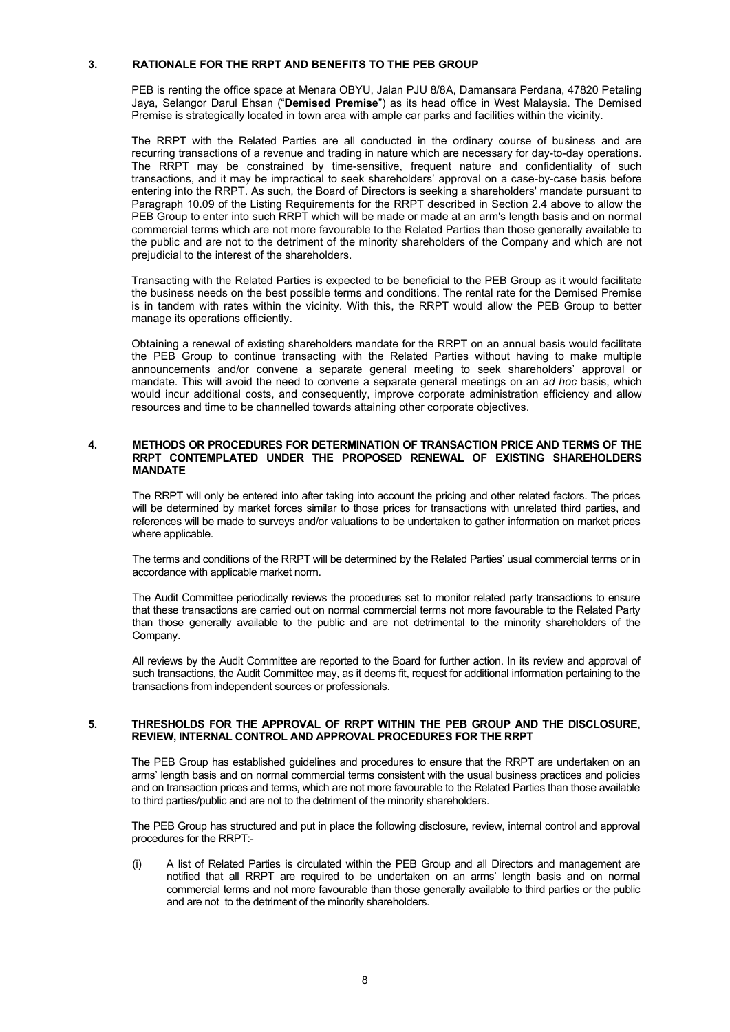#### 3. RATIONALE FOR THE RRPT AND BENEFITS TO THE PEB GROUP

PEB is renting the office space at Menara OBYU, Jalan PJU 8/8A, Damansara Perdana, 47820 Petaling Jaya, Selangor Darul Ehsan ("Demised Premise") as its head office in West Malaysia. The Demised Premise is strategically located in town area with ample car parks and facilities within the vicinity.

The RRPT with the Related Parties are all conducted in the ordinary course of business and are recurring transactions of a revenue and trading in nature which are necessary for day-to-day operations. The RRPT may be constrained by time-sensitive, frequent nature and confidentiality of such transactions, and it may be impractical to seek shareholders' approval on a case-by-case basis before entering into the RRPT. As such, the Board of Directors is seeking a shareholders' mandate pursuant to Paragraph 10.09 of the Listing Requirements for the RRPT described in Section 2.4 above to allow the PEB Group to enter into such RRPT which will be made or made at an arm's length basis and on normal commercial terms which are not more favourable to the Related Parties than those generally available to the public and are not to the detriment of the minority shareholders of the Company and which are not prejudicial to the interest of the shareholders.

Transacting with the Related Parties is expected to be beneficial to the PEB Group as it would facilitate the business needs on the best possible terms and conditions. The rental rate for the Demised Premise is in tandem with rates within the vicinity. With this, the RRPT would allow the PEB Group to better manage its operations efficiently.

Obtaining a renewal of existing shareholders mandate for the RRPT on an annual basis would facilitate the PEB Group to continue transacting with the Related Parties without having to make multiple announcements and/or convene a separate general meeting to seek shareholders' approval or mandate. This will avoid the need to convene a separate general meetings on an ad hoc basis, which would incur additional costs, and consequently, improve corporate administration efficiency and allow resources and time to be channelled towards attaining other corporate objectives.

#### 4. METHODS OR PROCEDURES FOR DETERMINATION OF TRANSACTION PRICE AND TERMS OF THE RRPT CONTEMPLATED UNDER THE PROPOSED RENEWAL OF EXISTING SHAREHOLDERS MANDATE

The RRPT will only be entered into after taking into account the pricing and other related factors. The prices will be determined by market forces similar to those prices for transactions with unrelated third parties, and references will be made to surveys and/or valuations to be undertaken to gather information on market prices where applicable.

The terms and conditions of the RRPT will be determined by the Related Parties' usual commercial terms or in accordance with applicable market norm.

The Audit Committee periodically reviews the procedures set to monitor related party transactions to ensure that these transactions are carried out on normal commercial terms not more favourable to the Related Party than those generally available to the public and are not detrimental to the minority shareholders of the Company.

All reviews by the Audit Committee are reported to the Board for further action. In its review and approval of such transactions, the Audit Committee may, as it deems fit, request for additional information pertaining to the transactions from independent sources or professionals.

#### 5. THRESHOLDS FOR THE APPROVAL OF RRPT WITHIN THE PEB GROUP AND THE DISCLOSURE, REVIEW, INTERNAL CONTROL AND APPROVAL PROCEDURES FOR THE RRPT

The PEB Group has established guidelines and procedures to ensure that the RRPT are undertaken on an arms' length basis and on normal commercial terms consistent with the usual business practices and policies and on transaction prices and terms, which are not more favourable to the Related Parties than those available to third parties/public and are not to the detriment of the minority shareholders.

The PEB Group has structured and put in place the following disclosure, review, internal control and approval procedures for the RRPT:-

(i) A list of Related Parties is circulated within the PEB Group and all Directors and management are notified that all RRPT are required to be undertaken on an arms' length basis and on normal commercial terms and not more favourable than those generally available to third parties or the public and are not to the detriment of the minority shareholders.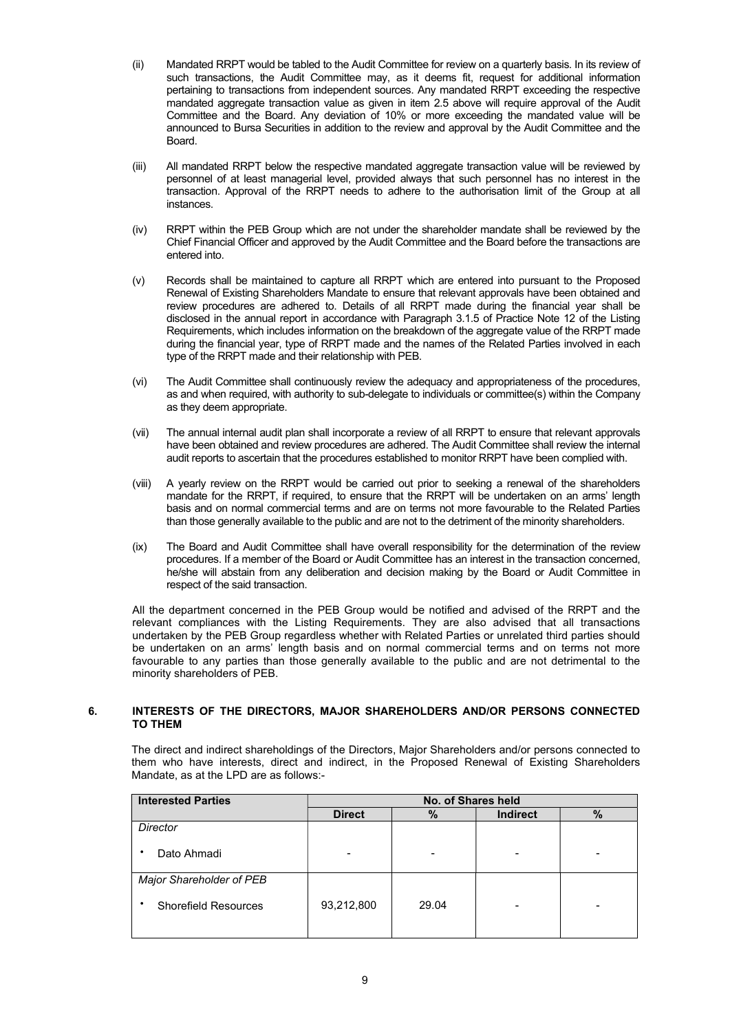- (ii) Mandated RRPT would be tabled to the Audit Committee for review on a quarterly basis. In its review of such transactions, the Audit Committee may, as it deems fit, request for additional information pertaining to transactions from independent sources. Any mandated RRPT exceeding the respective mandated aggregate transaction value as given in item 2.5 above will require approval of the Audit Committee and the Board. Any deviation of 10% or more exceeding the mandated value will be announced to Bursa Securities in addition to the review and approval by the Audit Committee and the Board.
- (iii) All mandated RRPT below the respective mandated aggregate transaction value will be reviewed by personnel of at least managerial level, provided always that such personnel has no interest in the transaction. Approval of the RRPT needs to adhere to the authorisation limit of the Group at all instances.
- (iv) RRPT within the PEB Group which are not under the shareholder mandate shall be reviewed by the Chief Financial Officer and approved by the Audit Committee and the Board before the transactions are entered into.
- (v) Records shall be maintained to capture all RRPT which are entered into pursuant to the Proposed Renewal of Existing Shareholders Mandate to ensure that relevant approvals have been obtained and review procedures are adhered to. Details of all RRPT made during the financial year shall be disclosed in the annual report in accordance with Paragraph 3.1.5 of Practice Note 12 of the Listing Requirements, which includes information on the breakdown of the aggregate value of the RRPT made during the financial year, type of RRPT made and the names of the Related Parties involved in each type of the RRPT made and their relationship with PEB.
- (vi) The Audit Committee shall continuously review the adequacy and appropriateness of the procedures, as and when required, with authority to sub-delegate to individuals or committee(s) within the Company as they deem appropriate.
- (vii) The annual internal audit plan shall incorporate a review of all RRPT to ensure that relevant approvals have been obtained and review procedures are adhered. The Audit Committee shall review the internal audit reports to ascertain that the procedures established to monitor RRPT have been complied with.
- (viii) A yearly review on the RRPT would be carried out prior to seeking a renewal of the shareholders mandate for the RRPT, if required, to ensure that the RRPT will be undertaken on an arms' length basis and on normal commercial terms and are on terms not more favourable to the Related Parties than those generally available to the public and are not to the detriment of the minority shareholders.
- (ix) The Board and Audit Committee shall have overall responsibility for the determination of the review procedures. If a member of the Board or Audit Committee has an interest in the transaction concerned, he/she will abstain from any deliberation and decision making by the Board or Audit Committee in respect of the said transaction.

All the department concerned in the PEB Group would be notified and advised of the RRPT and the relevant compliances with the Listing Requirements. They are also advised that all transactions undertaken by the PEB Group regardless whether with Related Parties or unrelated third parties should be undertaken on an arms' length basis and on normal commercial terms and on terms not more favourable to any parties than those generally available to the public and are not detrimental to the minority shareholders of PEB.

#### 6. INTERESTS OF THE DIRECTORS, MAJOR SHAREHOLDERS AND/OR PERSONS CONNECTED TO THEM

The direct and indirect shareholdings of the Directors, Major Shareholders and/or persons connected to them who have interests, direct and indirect, in the Proposed Renewal of Existing Shareholders Mandate, as at the LPD are as follows:-

| <b>Interested Parties</b>        | No. of Shares held |       |                 |      |  |  |  |
|----------------------------------|--------------------|-------|-----------------|------|--|--|--|
|                                  | <b>Direct</b>      | %     | <b>Indirect</b> | $\%$ |  |  |  |
| Director                         |                    |       |                 |      |  |  |  |
| Dato Ahmadi                      |                    |       |                 |      |  |  |  |
| Major Shareholder of PEB         |                    |       |                 |      |  |  |  |
| <b>Shorefield Resources</b><br>٠ | 93,212,800         | 29.04 |                 |      |  |  |  |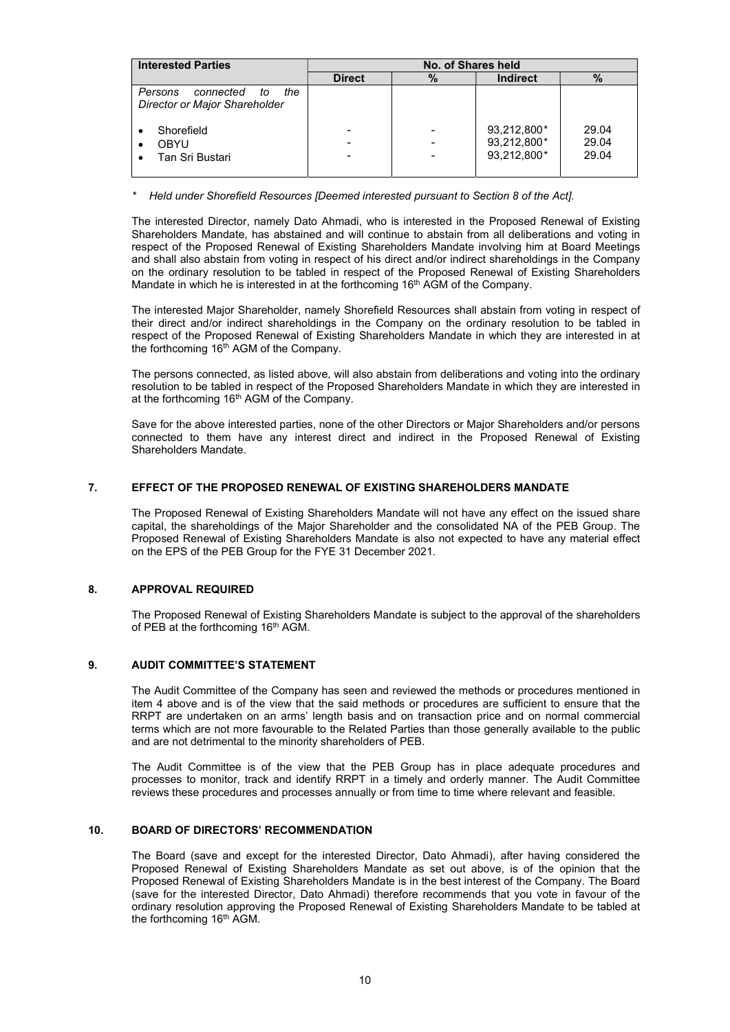| <b>Interested Parties</b>                                          | No. of Shares held |                                                      |                                           |                         |  |  |
|--------------------------------------------------------------------|--------------------|------------------------------------------------------|-------------------------------------------|-------------------------|--|--|
|                                                                    | <b>Direct</b>      | %                                                    | <b>Indirect</b>                           | $\%$                    |  |  |
| the<br>Persons<br>connected<br>to<br>Director or Major Shareholder |                    |                                                      |                                           |                         |  |  |
| Shorefield<br><b>OBYU</b><br>Tan Sri Bustari                       |                    | $\overline{\phantom{a}}$<br>$\overline{\phantom{a}}$ | 93,212,800*<br>93,212,800*<br>93.212.800* | 29.04<br>29.04<br>29.04 |  |  |

Held under Shorefield Resources [Deemed interested pursuant to Section 8 of the Act].

The interested Director, namely Dato Ahmadi, who is interested in the Proposed Renewal of Existing Shareholders Mandate, has abstained and will continue to abstain from all deliberations and voting in respect of the Proposed Renewal of Existing Shareholders Mandate involving him at Board Meetings and shall also abstain from voting in respect of his direct and/or indirect shareholdings in the Company on the ordinary resolution to be tabled in respect of the Proposed Renewal of Existing Shareholders Mandate in which he is interested in at the forthcoming 16<sup>th</sup> AGM of the Company.

The interested Major Shareholder, namely Shorefield Resources shall abstain from voting in respect of their direct and/or indirect shareholdings in the Company on the ordinary resolution to be tabled in respect of the Proposed Renewal of Existing Shareholders Mandate in which they are interested in at the forthcoming 16th AGM of the Company.

The persons connected, as listed above, will also abstain from deliberations and voting into the ordinary resolution to be tabled in respect of the Proposed Shareholders Mandate in which they are interested in at the forthcoming 16<sup>th</sup> AGM of the Company.

Save for the above interested parties, none of the other Directors or Major Shareholders and/or persons connected to them have any interest direct and indirect in the Proposed Renewal of Existing Shareholders Mandate.

### 7. EFFECT OF THE PROPOSED RENEWAL OF EXISTING SHAREHOLDERS MANDATE

The Proposed Renewal of Existing Shareholders Mandate will not have any effect on the issued share capital, the shareholdings of the Major Shareholder and the consolidated NA of the PEB Group. The Proposed Renewal of Existing Shareholders Mandate is also not expected to have any material effect on the EPS of the PEB Group for the FYE 31 December 2021.

### 8. APPROVAL REQUIRED

The Proposed Renewal of Existing Shareholders Mandate is subject to the approval of the shareholders of PEB at the forthcoming 16<sup>th</sup> AGM.

### 9. AUDIT COMMITTEE'S STATEMENT

 The Audit Committee of the Company has seen and reviewed the methods or procedures mentioned in item 4 above and is of the view that the said methods or procedures are sufficient to ensure that the RRPT are undertaken on an arms' length basis and on transaction price and on normal commercial terms which are not more favourable to the Related Parties than those generally available to the public and are not detrimental to the minority shareholders of PEB.

The Audit Committee is of the view that the PEB Group has in place adequate procedures and processes to monitor, track and identify RRPT in a timely and orderly manner. The Audit Committee reviews these procedures and processes annually or from time to time where relevant and feasible.

### 10. BOARD OF DIRECTORS' RECOMMENDATION

The Board (save and except for the interested Director, Dato Ahmadi), after having considered the Proposed Renewal of Existing Shareholders Mandate as set out above, is of the opinion that the Proposed Renewal of Existing Shareholders Mandate is in the best interest of the Company. The Board (save for the interested Director, Dato Ahmadi) therefore recommends that you vote in favour of the ordinary resolution approving the Proposed Renewal of Existing Shareholders Mandate to be tabled at the forthcoming 16<sup>th</sup> AGM.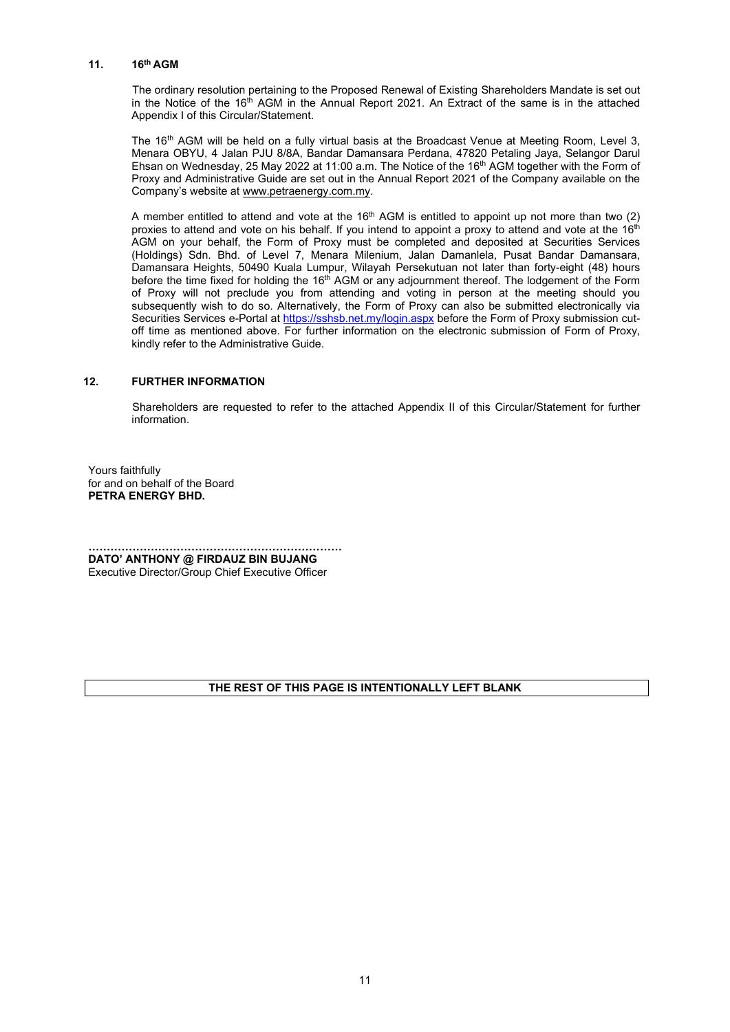### 11. 16th AGM

The ordinary resolution pertaining to the Proposed Renewal of Existing Shareholders Mandate is set out in the Notice of the 16<sup>th</sup> AGM in the Annual Report 2021. An Extract of the same is in the attached Appendix I of this Circular/Statement.

The 16<sup>th</sup> AGM will be held on a fully virtual basis at the Broadcast Venue at Meeting Room, Level 3, Menara OBYU, 4 Jalan PJU 8/8A, Bandar Damansara Perdana, 47820 Petaling Jaya, Selangor Darul Ehsan on Wednesday, 25 May 2022 at 11:00 a.m. The Notice of the 16<sup>th</sup> AGM together with the Form of Proxy and Administrative Guide are set out in the Annual Report 2021 of the Company available on the Company's website at www.petraenergy.com.my.

A member entitled to attend and vote at the 16<sup>th</sup> AGM is entitled to appoint up not more than two (2) proxies to attend and vote on his behalf. If you intend to appoint a proxy to attend and vote at the 16<sup>th</sup> AGM on your behalf, the Form of Proxy must be completed and deposited at Securities Services (Holdings) Sdn. Bhd. of Level 7, Menara Milenium, Jalan Damanlela, Pusat Bandar Damansara, Damansara Heights, 50490 Kuala Lumpur, Wilayah Persekutuan not later than forty-eight (48) hours before the time fixed for holding the 16<sup>th</sup> AGM or any adjournment thereof. The lodgement of the Form of Proxy will not preclude you from attending and voting in person at the meeting should you subsequently wish to do so. Alternatively, the Form of Proxy can also be submitted electronically via Securities Services e-Portal at <u>https://sshsb.net.my/login.aspx</u> before the Form of Proxy submission cutoff time as mentioned above. For further information on the electronic submission of Form of Proxy, kindly refer to the Administrative Guide.

#### 12. FURTHER INFORMATION

 Shareholders are requested to refer to the attached Appendix II of this Circular/Statement for further information.

Yours faithfully for and on behalf of the Board PETRA ENERGY BHD.

…………………………………………………………… DATO' ANTHONY @ FIRDAUZ BIN BUJANG Executive Director/Group Chief Executive Officer

#### THE REST OF THIS PAGE IS INTENTIONALLY LEFT BLANK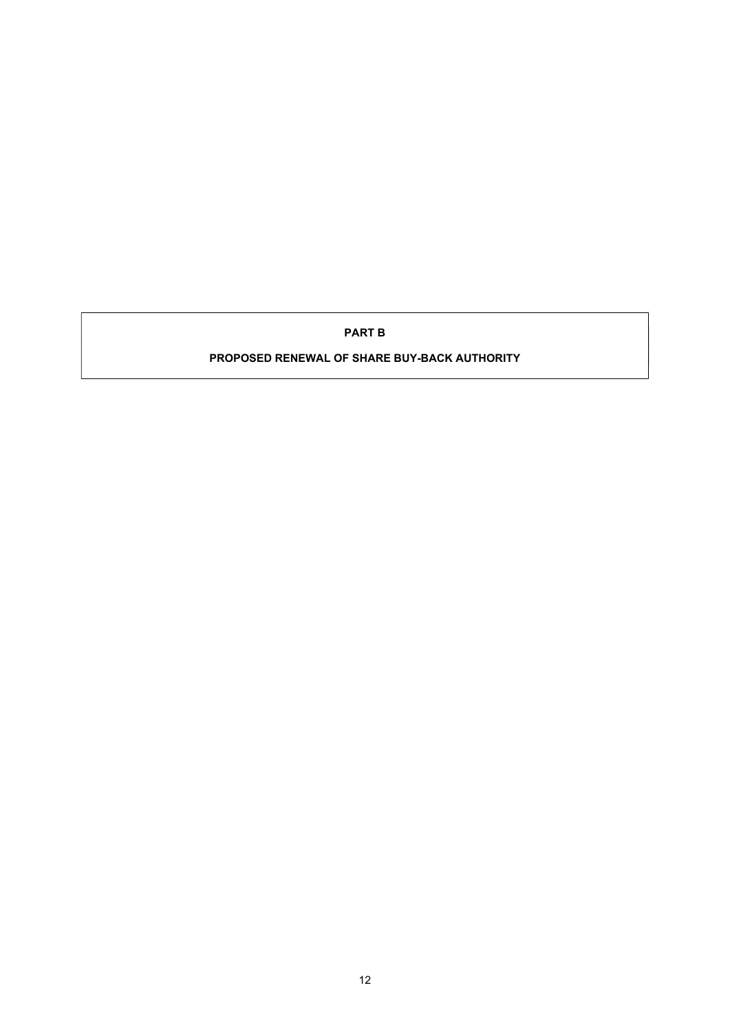PART B

PROPOSED RENEWAL OF SHARE BUY-BACK AUTHORITY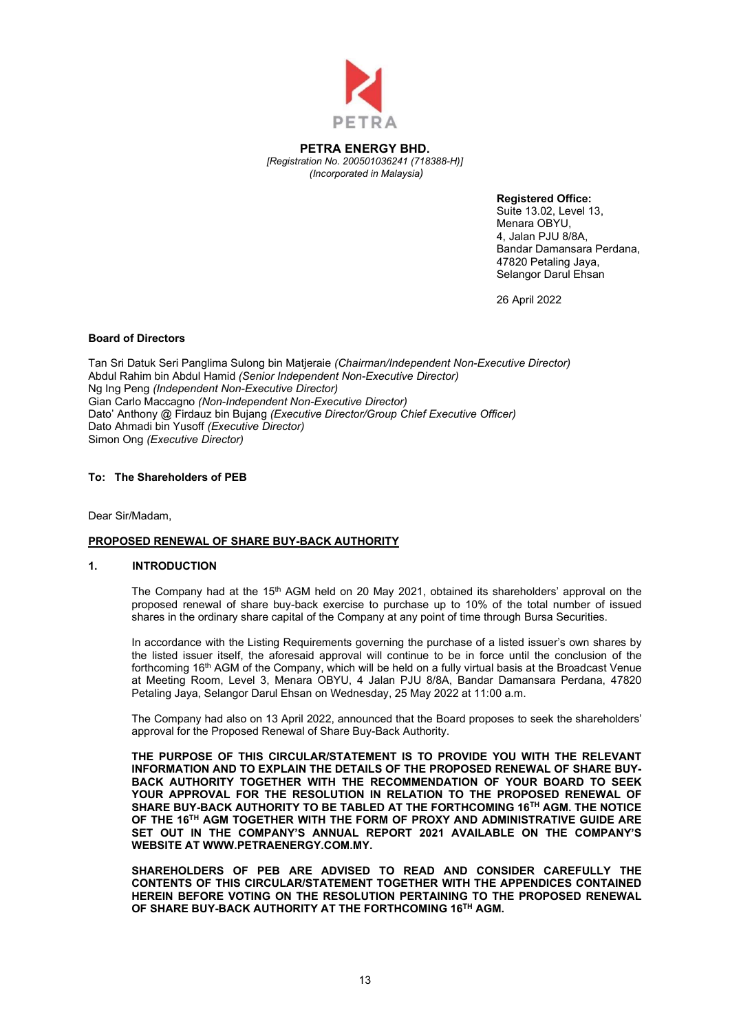

PETRA ENERGY BHD. [Registration No. 200501036241 (718388-H)] (Incorporated in Malaysia)

Registered Office:

Suite 13.02, Level 13, Menara OBYU, 4, Jalan PJU 8/8A, Bandar Damansara Perdana, 47820 Petaling Jaya, Selangor Darul Ehsan

26 April 2022

### Board of Directors

Tan Sri Datuk Seri Panglima Sulong bin Matjeraie (Chairman/Independent Non-Executive Director) Abdul Rahim bin Abdul Hamid (Senior Independent Non-Executive Director) Ng Ing Peng (Independent Non-Executive Director) Gian Carlo Maccagno (Non-Independent Non-Executive Director) Dato' Anthony @ Firdauz bin Bujang (Executive Director/Group Chief Executive Officer) Dato Ahmadi bin Yusoff (Executive Director) Simon Ong (Executive Director)

### To: The Shareholders of PEB

Dear Sir/Madam,

### PROPOSED RENEWAL OF SHARE BUY-BACK AUTHORITY

#### 1. INTRODUCTION

The Company had at the  $15<sup>th</sup>$  AGM held on 20 May 2021, obtained its shareholders' approval on the proposed renewal of share buy-back exercise to purchase up to 10% of the total number of issued shares in the ordinary share capital of the Company at any point of time through Bursa Securities.

In accordance with the Listing Requirements governing the purchase of a listed issuer's own shares by the listed issuer itself, the aforesaid approval will continue to be in force until the conclusion of the forthcoming 16<sup>th</sup> AGM of the Company, which will be held on a fully virtual basis at the Broadcast Venue at Meeting Room, Level 3, Menara OBYU, 4 Jalan PJU 8/8A, Bandar Damansara Perdana, 47820 Petaling Jaya, Selangor Darul Ehsan on Wednesday, 25 May 2022 at 11:00 a.m.

The Company had also on 13 April 2022, announced that the Board proposes to seek the shareholders' approval for the Proposed Renewal of Share Buy-Back Authority.

THE PURPOSE OF THIS CIRCULAR/STATEMENT IS TO PROVIDE YOU WITH THE RELEVANT INFORMATION AND TO EXPLAIN THE DETAILS OF THE PROPOSED RENEWAL OF SHARE BUY-BACK AUTHORITY TOGETHER WITH THE RECOMMENDATION OF YOUR BOARD TO SEEK YOUR APPROVAL FOR THE RESOLUTION IN RELATION TO THE PROPOSED RENEWAL OF SHARE BUY-BACK AUTHORITY TO BE TABLED AT THE FORTHCOMING 16TH AGM. THE NOTICE OF THE 16TH AGM TOGETHER WITH THE FORM OF PROXY AND ADMINISTRATIVE GUIDE ARE SET OUT IN THE COMPANY'S ANNUAL REPORT 2021 AVAILABLE ON THE COMPANY'S WEBSITE AT WWW.PETRAENERGY.COM.MY.

SHAREHOLDERS OF PEB ARE ADVISED TO READ AND CONSIDER CAREFULLY THE CONTENTS OF THIS CIRCULAR/STATEMENT TOGETHER WITH THE APPENDICES CONTAINED HEREIN BEFORE VOTING ON THE RESOLUTION PERTAINING TO THE PROPOSED RENEWAL OF SHARE BUY-BACK AUTHORITY AT THE FORTHCOMING 16TH AGM.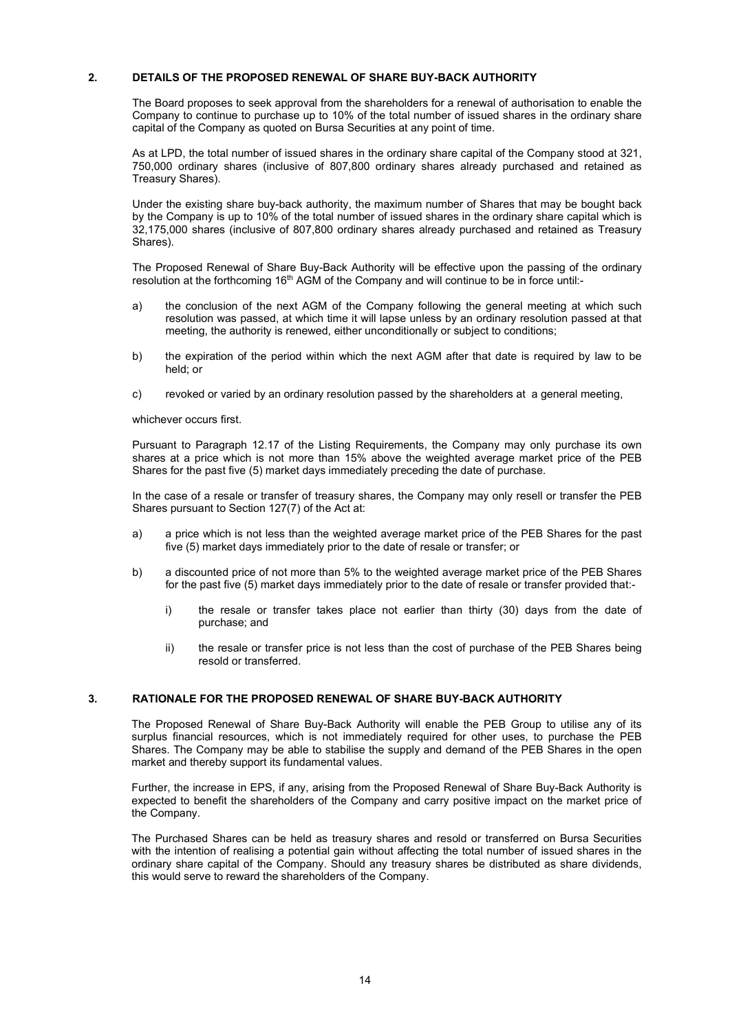### 2. DETAILS OF THE PROPOSED RENEWAL OF SHARE BUY-BACK AUTHORITY

 The Board proposes to seek approval from the shareholders for a renewal of authorisation to enable the Company to continue to purchase up to 10% of the total number of issued shares in the ordinary share capital of the Company as quoted on Bursa Securities at any point of time.

 As at LPD, the total number of issued shares in the ordinary share capital of the Company stood at 321, 750,000 ordinary shares (inclusive of 807,800 ordinary shares already purchased and retained as Treasury Shares).

 Under the existing share buy-back authority, the maximum number of Shares that may be bought back by the Company is up to 10% of the total number of issued shares in the ordinary share capital which is 32,175,000 shares (inclusive of 807,800 ordinary shares already purchased and retained as Treasury Shares).

The Proposed Renewal of Share Buy-Back Authority will be effective upon the passing of the ordinary resolution at the forthcoming 16<sup>th</sup> AGM of the Company and will continue to be in force until:-

- a) the conclusion of the next AGM of the Company following the general meeting at which such resolution was passed, at which time it will lapse unless by an ordinary resolution passed at that meeting, the authority is renewed, either unconditionally or subject to conditions;
- b) the expiration of the period within which the next AGM after that date is required by law to be held; or
- c) revoked or varied by an ordinary resolution passed by the shareholders at a general meeting,

whichever occurs first.

Pursuant to Paragraph 12.17 of the Listing Requirements, the Company may only purchase its own shares at a price which is not more than 15% above the weighted average market price of the PEB Shares for the past five (5) market days immediately preceding the date of purchase.

In the case of a resale or transfer of treasury shares, the Company may only resell or transfer the PEB Shares pursuant to Section 127(7) of the Act at:

- a) a price which is not less than the weighted average market price of the PEB Shares for the past five (5) market days immediately prior to the date of resale or transfer; or
- b) a discounted price of not more than 5% to the weighted average market price of the PEB Shares for the past five (5) market days immediately prior to the date of resale or transfer provided that:
	- i) the resale or transfer takes place not earlier than thirty (30) days from the date of purchase; and
	- ii) the resale or transfer price is not less than the cost of purchase of the PEB Shares being resold or transferred.

#### 3. RATIONALE FOR THE PROPOSED RENEWAL OF SHARE BUY-BACK AUTHORITY

The Proposed Renewal of Share Buy-Back Authority will enable the PEB Group to utilise any of its surplus financial resources, which is not immediately required for other uses, to purchase the PEB Shares. The Company may be able to stabilise the supply and demand of the PEB Shares in the open market and thereby support its fundamental values.

Further, the increase in EPS, if any, arising from the Proposed Renewal of Share Buy-Back Authority is expected to benefit the shareholders of the Company and carry positive impact on the market price of the Company.

The Purchased Shares can be held as treasury shares and resold or transferred on Bursa Securities with the intention of realising a potential gain without affecting the total number of issued shares in the ordinary share capital of the Company. Should any treasury shares be distributed as share dividends, this would serve to reward the shareholders of the Company.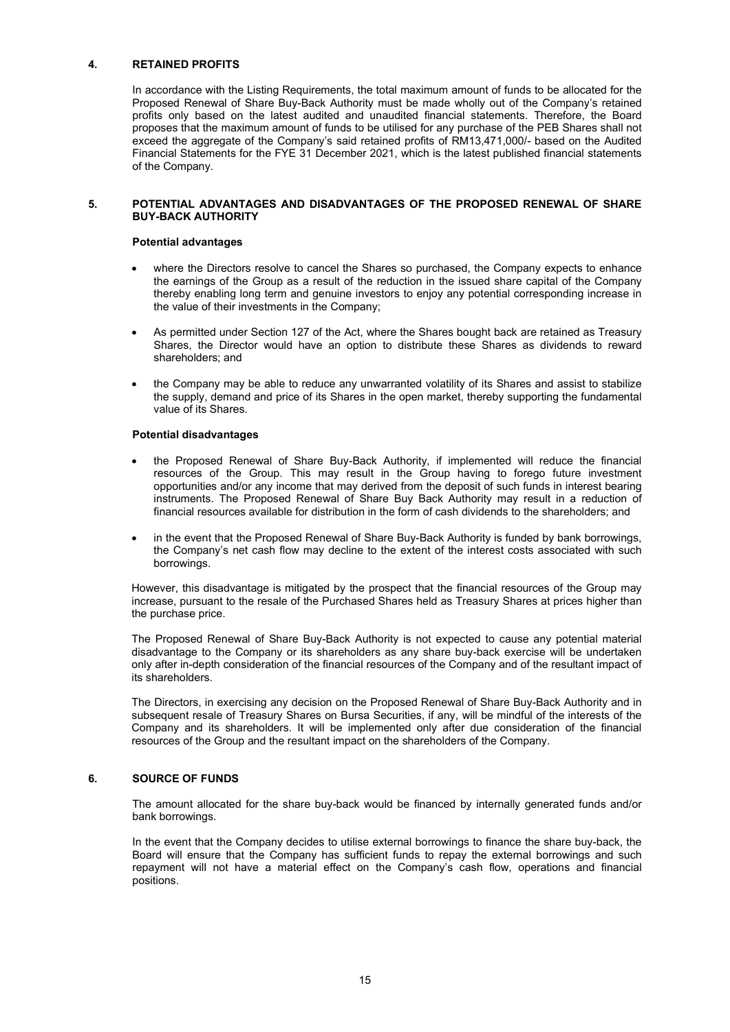### 4. RETAINED PROFITS

 In accordance with the Listing Requirements, the total maximum amount of funds to be allocated for the Proposed Renewal of Share Buy-Back Authority must be made wholly out of the Company's retained profits only based on the latest audited and unaudited financial statements. Therefore, the Board proposes that the maximum amount of funds to be utilised for any purchase of the PEB Shares shall not exceed the aggregate of the Company's said retained profits of RM13,471,000/- based on the Audited Financial Statements for the FYE 31 December 2021, which is the latest published financial statements of the Company.

#### 5. POTENTIAL ADVANTAGES AND DISADVANTAGES OF THE PROPOSED RENEWAL OF SHARE BUY-BACK AUTHORITY

#### Potential advantages

- where the Directors resolve to cancel the Shares so purchased, the Company expects to enhance the earnings of the Group as a result of the reduction in the issued share capital of the Company thereby enabling long term and genuine investors to enjoy any potential corresponding increase in the value of their investments in the Company;
- As permitted under Section 127 of the Act, where the Shares bought back are retained as Treasury Shares, the Director would have an option to distribute these Shares as dividends to reward shareholders; and
- the Company may be able to reduce any unwarranted volatility of its Shares and assist to stabilize the supply, demand and price of its Shares in the open market, thereby supporting the fundamental value of its Shares.

#### Potential disadvantages

- the Proposed Renewal of Share Buy-Back Authority, if implemented will reduce the financial resources of the Group. This may result in the Group having to forego future investment opportunities and/or any income that may derived from the deposit of such funds in interest bearing instruments. The Proposed Renewal of Share Buy Back Authority may result in a reduction of financial resources available for distribution in the form of cash dividends to the shareholders; and
- in the event that the Proposed Renewal of Share Buy-Back Authority is funded by bank borrowings, the Company's net cash flow may decline to the extent of the interest costs associated with such borrowings.

However, this disadvantage is mitigated by the prospect that the financial resources of the Group may increase, pursuant to the resale of the Purchased Shares held as Treasury Shares at prices higher than the purchase price.

The Proposed Renewal of Share Buy-Back Authority is not expected to cause any potential material disadvantage to the Company or its shareholders as any share buy-back exercise will be undertaken only after in-depth consideration of the financial resources of the Company and of the resultant impact of its shareholders.

The Directors, in exercising any decision on the Proposed Renewal of Share Buy-Back Authority and in subsequent resale of Treasury Shares on Bursa Securities, if any, will be mindful of the interests of the Company and its shareholders. It will be implemented only after due consideration of the financial resources of the Group and the resultant impact on the shareholders of the Company.

### 6. SOURCE OF FUNDS

 The amount allocated for the share buy-back would be financed by internally generated funds and/or bank borrowings.

 In the event that the Company decides to utilise external borrowings to finance the share buy-back, the Board will ensure that the Company has sufficient funds to repay the external borrowings and such repayment will not have a material effect on the Company's cash flow, operations and financial positions.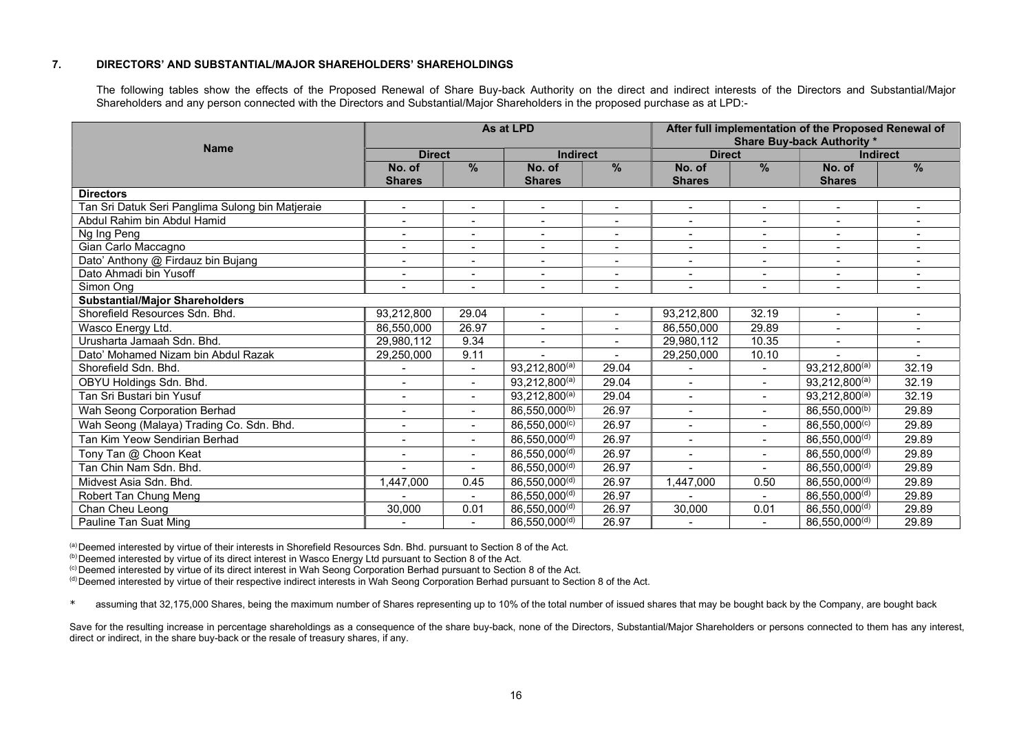#### 7. DIRECTORS' AND SUBSTANTIAL/MAJOR SHAREHOLDERS' SHAREHOLDINGS

 The following tables show the effects of the Proposed Renewal of Share Buy-back Authority on the direct and indirect interests of the Directors and Substantial/Major Shareholders and any person connected with the Directors and Substantial/Major Shareholders in the proposed purchase as at LPD:-

|                                                  | As at LPD                |                          |                           |                          | After full implementation of the Proposed Renewal of<br><b>Share Buy-back Authority *</b> |                          |                           |                          |
|--------------------------------------------------|--------------------------|--------------------------|---------------------------|--------------------------|-------------------------------------------------------------------------------------------|--------------------------|---------------------------|--------------------------|
| <b>Name</b>                                      | <b>Direct</b>            |                          |                           | <b>Indirect</b>          |                                                                                           | <b>Direct</b>            |                           | <b>Indirect</b>          |
|                                                  | No. of                   | $\frac{9}{6}$            | No. of                    | $\frac{9}{6}$            | No. of                                                                                    | $\frac{9}{6}$            | No. of                    | $\frac{9}{6}$            |
|                                                  | <b>Shares</b>            |                          | <b>Shares</b>             |                          | <b>Shares</b>                                                                             |                          | <b>Shares</b>             |                          |
| <b>Directors</b>                                 |                          |                          |                           |                          |                                                                                           |                          |                           |                          |
| Tan Sri Datuk Seri Panglima Sulong bin Matjeraie | $\blacksquare$           | $\overline{\phantom{a}}$ | $\blacksquare$            | $\overline{\phantom{a}}$ | $\blacksquare$                                                                            | $\overline{\phantom{a}}$ | $\blacksquare$            |                          |
| Abdul Rahim bin Abdul Hamid                      | $\blacksquare$           |                          |                           |                          | $\blacksquare$                                                                            | $\overline{\phantom{a}}$ |                           |                          |
| Ng Ing Peng                                      |                          | $\overline{\phantom{0}}$ | $\overline{\phantom{a}}$  | $\overline{\phantom{a}}$ |                                                                                           | $\sim$                   | $\blacksquare$            |                          |
| Gian Carlo Maccagno                              | $\blacksquare$           | $\overline{\phantom{a}}$ | $\overline{\phantom{a}}$  | $\overline{\phantom{a}}$ | $\blacksquare$                                                                            | $\overline{\phantom{a}}$ | $\overline{\phantom{a}}$  | $\overline{\phantom{a}}$ |
| Dato' Anthony @ Firdauz bin Bujang               | $\blacksquare$           | $\overline{\phantom{a}}$ | $\overline{\phantom{a}}$  | $\overline{\phantom{a}}$ | $\blacksquare$                                                                            | $\overline{\phantom{a}}$ | $\blacksquare$            |                          |
| Dato Ahmadi bin Yusoff                           | $\blacksquare$           | $\overline{\phantom{a}}$ | $\overline{\phantom{a}}$  | $\overline{\phantom{a}}$ | $\blacksquare$                                                                            | $\overline{\phantom{a}}$ | $\blacksquare$            |                          |
| Simon Ong                                        | $\blacksquare$           |                          |                           |                          |                                                                                           |                          | $\blacksquare$            |                          |
| <b>Substantial/Major Shareholders</b>            |                          |                          |                           |                          |                                                                                           |                          |                           |                          |
| Shorefield Resources Sdn. Bhd.                   | 93,212,800               | 29.04                    | $\blacksquare$            | $\blacksquare$           | 93,212,800                                                                                | 32.19                    | $\blacksquare$            |                          |
| Wasco Energy Ltd.                                | 86,550,000               | 26.97                    | $\overline{\phantom{a}}$  |                          | 86,550,000                                                                                | 29.89                    | $\blacksquare$            | $\blacksquare$           |
| Urusharta Jamaah Sdn. Bhd.                       | 29,980,112               | 9.34                     | $\overline{\phantom{a}}$  | $\overline{\phantom{a}}$ | 29,980,112                                                                                | 10.35                    |                           |                          |
| Dato' Mohamed Nizam bin Abdul Razak              | 29,250,000               | 9.11                     |                           |                          | 29,250,000                                                                                | 10.10                    |                           |                          |
| Shorefield Sdn. Bhd.                             |                          | $\blacksquare$           | 93,212,800(a)             | 29.04                    | $\overline{\phantom{a}}$                                                                  | $\blacksquare$           | 93,212,800(a)             | 32.19                    |
| OBYU Holdings Sdn. Bhd.                          | $\blacksquare$           |                          | $93,212,800^{(a)}$        | 29.04                    | $\blacksquare$                                                                            | $\overline{\phantom{0}}$ | $93,212,800^{(a)}$        | 32.19                    |
| Tan Sri Bustari bin Yusuf                        | $\blacksquare$           | $\blacksquare$           | $93,212,800^{(a)}$        | 29.04                    | $\blacksquare$                                                                            | $\blacksquare$           | 93,212,800(a)             | 32.19                    |
| Wah Seong Corporation Berhad                     | $\blacksquare$           | $\blacksquare$           | 86,550,000 <sup>(b)</sup> | 26.97                    | $\overline{\phantom{a}}$                                                                  | $\blacksquare$           | 86,550,000 <sup>(b)</sup> | 29.89                    |
| Wah Seong (Malaya) Trading Co. Sdn. Bhd.         | $\blacksquare$           | $\blacksquare$           | 86,550,000(c)             | 26.97                    |                                                                                           | $\blacksquare$           | 86,550,000(c)             | 29.89                    |
| Tan Kim Yeow Sendirian Berhad                    | $\overline{\phantom{0}}$ | $\blacksquare$           | 86,550,000 <sup>(d)</sup> | 26.97                    | $\overline{\phantom{0}}$                                                                  | $\blacksquare$           | 86,550,000 <sup>(d)</sup> | 29.89                    |
| Tony Tan @ Choon Keat                            | $\blacksquare$           | $\overline{\phantom{a}}$ | 86,550,000 <sup>(d)</sup> | 26.97                    | $\blacksquare$                                                                            | $\blacksquare$           | 86,550,000(d)             | 29.89                    |
| Tan Chin Nam Sdn. Bhd.                           |                          | $\overline{\phantom{0}}$ | 86,550,000 <sup>(d)</sup> | 26.97                    |                                                                                           | $\overline{\phantom{0}}$ | 86,550,000(d)             | 29.89                    |
| Midvest Asia Sdn. Bhd.                           | ,447,000                 | 0.45                     | 86,550,000(d)             | 26.97                    | 1,447,000                                                                                 | 0.50                     | 86,550,000(d)             | 29.89                    |
| Robert Tan Chung Meng                            |                          | $\blacksquare$           | 86,550,000(d)             | 26.97                    |                                                                                           | $\blacksquare$           | 86,550,000(d)             | 29.89                    |
| Chan Cheu Leong                                  | 30,000                   | 0.01                     | 86,550,000 <sup>(d)</sup> | 26.97                    | 30,000                                                                                    | 0.01                     | 86,550,000 <sup>(d)</sup> | 29.89                    |
| Pauline Tan Suat Ming                            |                          |                          | 86,550,000(d)             | 26.97                    |                                                                                           |                          | 86,550,000(d)             | 29.89                    |

(a) Deemed interested by virtue of their interests in Shorefield Resources Sdn. Bhd. pursuant to Section 8 of the Act.

(b) Deemed interested by virtue of its direct interest in Wasco Energy Ltd pursuant to Section 8 of the Act.

(c) Deemed interested by virtue of its direct interest in Wah Seong Corporation Berhad pursuant to Section 8 of the Act.

(d) Deemed interested by virtue of their respective indirect interests in Wah Seong Corporation Berhad pursuant to Section 8 of the Act.

\* assuming that 32,175,000 Shares, being the maximum number of Shares representing up to 10% of the total number of issued shares that may be bought back by the Company, are bought back

Save for the resulting increase in percentage shareholdings as a consequence of the share buy-back, none of the Directors, Substantial/Major Shareholders or persons connected to them has any interest, direct or indirect, in the share buy-back or the resale of treasury shares, if any.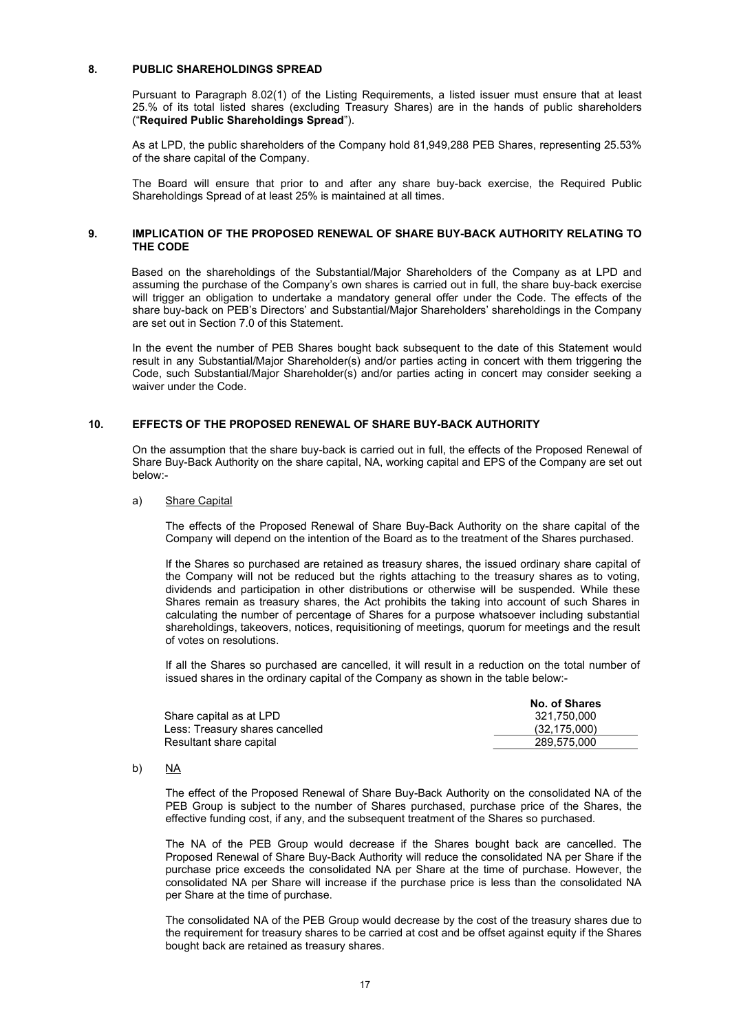#### 8. PUBLIC SHAREHOLDINGS SPREAD

Pursuant to Paragraph 8.02(1) of the Listing Requirements, a listed issuer must ensure that at least 25.% of its total listed shares (excluding Treasury Shares) are in the hands of public shareholders ("Required Public Shareholdings Spread").

As at LPD, the public shareholders of the Company hold 81,949,288 PEB Shares, representing 25.53% of the share capital of the Company.

The Board will ensure that prior to and after any share buy-back exercise, the Required Public Shareholdings Spread of at least 25% is maintained at all times.

#### 9. IMPLICATION OF THE PROPOSED RENEWAL OF SHARE BUY-BACK AUTHORITY RELATING TO THE CODE

Based on the shareholdings of the Substantial/Major Shareholders of the Company as at LPD and assuming the purchase of the Company's own shares is carried out in full, the share buy-back exercise will trigger an obligation to undertake a mandatory general offer under the Code. The effects of the share buy-back on PEB's Directors' and Substantial/Major Shareholders' shareholdings in the Company are set out in Section 7.0 of this Statement.

In the event the number of PEB Shares bought back subsequent to the date of this Statement would result in any Substantial/Major Shareholder(s) and/or parties acting in concert with them triggering the Code, such Substantial/Major Shareholder(s) and/or parties acting in concert may consider seeking a waiver under the Code.

### 10. EFFECTS OF THE PROPOSED RENEWAL OF SHARE BUY-BACK AUTHORITY

 On the assumption that the share buy-back is carried out in full, the effects of the Proposed Renewal of Share Buy-Back Authority on the share capital, NA, working capital and EPS of the Company are set out below:-

#### a) Share Capital

 The effects of the Proposed Renewal of Share Buy-Back Authority on the share capital of the Company will depend on the intention of the Board as to the treatment of the Shares purchased.

 If the Shares so purchased are retained as treasury shares, the issued ordinary share capital of the Company will not be reduced but the rights attaching to the treasury shares as to voting, dividends and participation in other distributions or otherwise will be suspended. While these Shares remain as treasury shares, the Act prohibits the taking into account of such Shares in calculating the number of percentage of Shares for a purpose whatsoever including substantial shareholdings, takeovers, notices, requisitioning of meetings, quorum for meetings and the result of votes on resolutions.

 If all the Shares so purchased are cancelled, it will result in a reduction on the total number of issued shares in the ordinary capital of the Company as shown in the table below:-

|                                 | No. of Shares |
|---------------------------------|---------------|
| Share capital as at LPD         | 321.750.000   |
| Less: Treasury shares cancelled | (32.175.000)  |
| Resultant share capital         | 289.575.000   |

#### b) NA

The effect of the Proposed Renewal of Share Buy-Back Authority on the consolidated NA of the PEB Group is subject to the number of Shares purchased, purchase price of the Shares, the effective funding cost, if any, and the subsequent treatment of the Shares so purchased.

The NA of the PEB Group would decrease if the Shares bought back are cancelled. The Proposed Renewal of Share Buy-Back Authority will reduce the consolidated NA per Share if the purchase price exceeds the consolidated NA per Share at the time of purchase. However, the consolidated NA per Share will increase if the purchase price is less than the consolidated NA per Share at the time of purchase.

The consolidated NA of the PEB Group would decrease by the cost of the treasury shares due to the requirement for treasury shares to be carried at cost and be offset against equity if the Shares bought back are retained as treasury shares.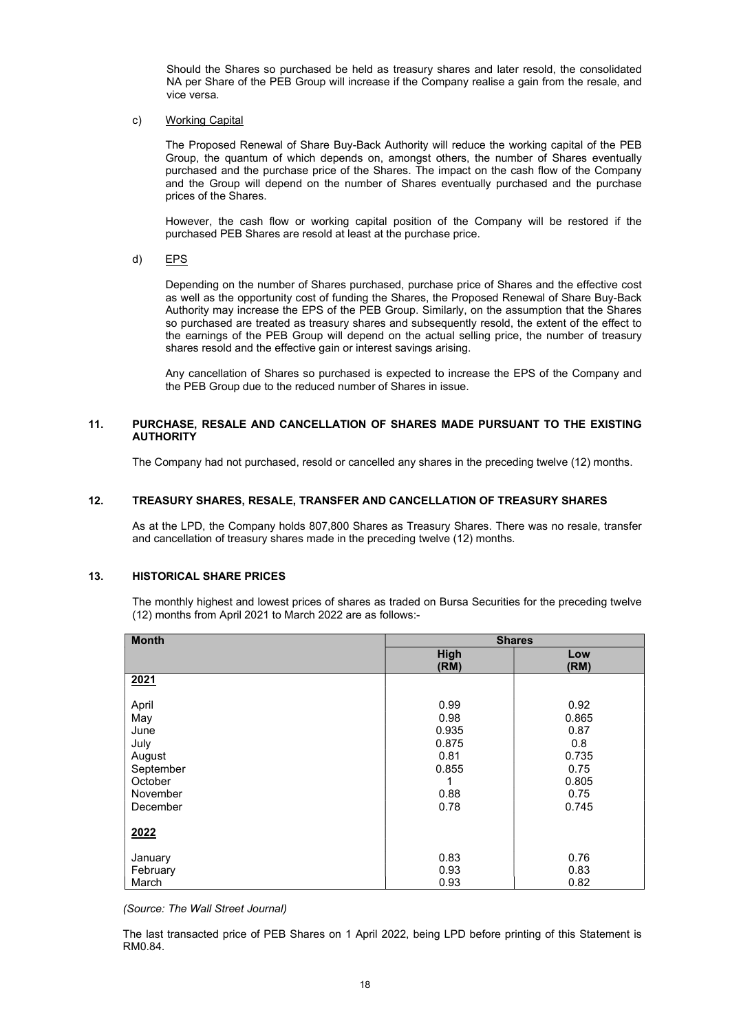Should the Shares so purchased be held as treasury shares and later resold, the consolidated NA per Share of the PEB Group will increase if the Company realise a gain from the resale, and vice versa.

#### c) Working Capital

The Proposed Renewal of Share Buy-Back Authority will reduce the working capital of the PEB Group, the quantum of which depends on, amongst others, the number of Shares eventually purchased and the purchase price of the Shares. The impact on the cash flow of the Company and the Group will depend on the number of Shares eventually purchased and the purchase prices of the Shares.

However, the cash flow or working capital position of the Company will be restored if the purchased PEB Shares are resold at least at the purchase price.

d) EPS

Depending on the number of Shares purchased, purchase price of Shares and the effective cost as well as the opportunity cost of funding the Shares, the Proposed Renewal of Share Buy-Back Authority may increase the EPS of the PEB Group. Similarly, on the assumption that the Shares so purchased are treated as treasury shares and subsequently resold, the extent of the effect to the earnings of the PEB Group will depend on the actual selling price, the number of treasury shares resold and the effective gain or interest savings arising.

Any cancellation of Shares so purchased is expected to increase the EPS of the Company and the PEB Group due to the reduced number of Shares in issue.

### 11. PURCHASE, RESALE AND CANCELLATION OF SHARES MADE PURSUANT TO THE EXISTING **AUTHORITY**

The Company had not purchased, resold or cancelled any shares in the preceding twelve (12) months.

### 12. TREASURY SHARES, RESALE, TRANSFER AND CANCELLATION OF TREASURY SHARES

As at the LPD, the Company holds 807,800 Shares as Treasury Shares. There was no resale, transfer and cancellation of treasury shares made in the preceding twelve (12) months.

### 13. HISTORICAL SHARE PRICES

The monthly highest and lowest prices of shares as traded on Bursa Securities for the preceding twelve (12) months from April 2021 to March 2022 are as follows:-

| <b>Month</b> | <b>Shares</b> |             |
|--------------|---------------|-------------|
|              | High<br>(RM)  | Low<br>(RM) |
| 2021         |               |             |
| April        | 0.99          | 0.92        |
| May          | 0.98          | 0.865       |
| June         | 0.935         | 0.87        |
| July         | 0.875         | 0.8         |
| August       | 0.81          | 0.735       |
| September    | 0.855         | 0.75        |
| October      | 1             | 0.805       |
| November     | 0.88          | 0.75        |
| December     | 0.78          | 0.745       |
| 2022         |               |             |
| January      | 0.83          | 0.76        |
| February     | 0.93          | 0.83        |
| March        | 0.93          | 0.82        |

(Source: The Wall Street Journal)

The last transacted price of PEB Shares on 1 April 2022, being LPD before printing of this Statement is RM0.84.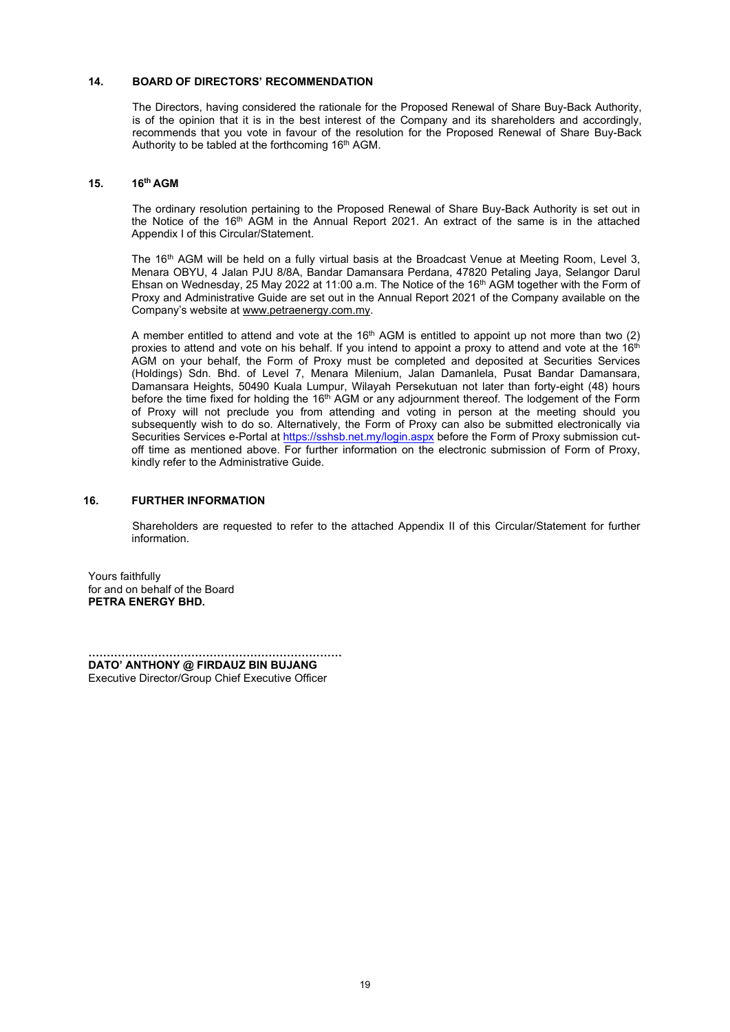### 14. BOARD OF DIRECTORS' RECOMMENDATION

 The Directors, having considered the rationale for the Proposed Renewal of Share Buy-Back Authority, is of the opinion that it is in the best interest of the Company and its shareholders and accordingly, recommends that you vote in favour of the resolution for the Proposed Renewal of Share Buy-Back Authority to be tabled at the forthcoming  $16<sup>th</sup>$  AGM.

#### 15. 16th AGM

The ordinary resolution pertaining to the Proposed Renewal of Share Buy-Back Authority is set out in the Notice of the 16<sup>th</sup> AGM in the Annual Report 2021. An extract of the same is in the attached Appendix I of this Circular/Statement.

The 16<sup>th</sup> AGM will be held on a fully virtual basis at the Broadcast Venue at Meeting Room, Level 3, Menara OBYU, 4 Jalan PJU 8/8A, Bandar Damansara Perdana, 47820 Petaling Jaya, Selangor Darul Ehsan on Wednesday, 25 May 2022 at 11:00 a.m. The Notice of the 16<sup>th</sup> AGM together with the Form of Proxy and Administrative Guide are set out in the Annual Report 2021 of the Company available on the Company's website at www.petraenergy.com.my.

A member entitled to attend and vote at the  $16<sup>th</sup>$  AGM is entitled to appoint up not more than two (2) proxies to attend and vote on his behalf. If you intend to appoint a proxy to attend and vote at the  $16<sup>th</sup>$ AGM on your behalf, the Form of Proxy must be completed and deposited at Securities Services (Holdings) Sdn. Bhd. of Level 7, Menara Milenium, Jalan Damanlela, Pusat Bandar Damansara, Damansara Heights, 50490 Kuala Lumpur, Wilayah Persekutuan not later than forty-eight (48) hours before the time fixed for holding the 16<sup>th</sup> AGM or any adjournment thereof. The lodgement of the Form of Proxy will not preclude you from attending and voting in person at the meeting should you subsequently wish to do so. Alternatively, the Form of Proxy can also be submitted electronically via Securities Services e-Portal at https://sshsb.net.my/login.aspx before the Form of Proxy submission cutoff time as mentioned above. For further information on the electronic submission of Form of Proxy, kindly refer to the Administrative Guide.

#### 16. FURTHER INFORMATION

 Shareholders are requested to refer to the attached Appendix II of this Circular/Statement for further information.

Yours faithfully for and on behalf of the Board PETRA ENERGY BHD.

…………………………………………………………… DATO' ANTHONY @ FIRDAUZ BIN BUJANG Executive Director/Group Chief Executive Officer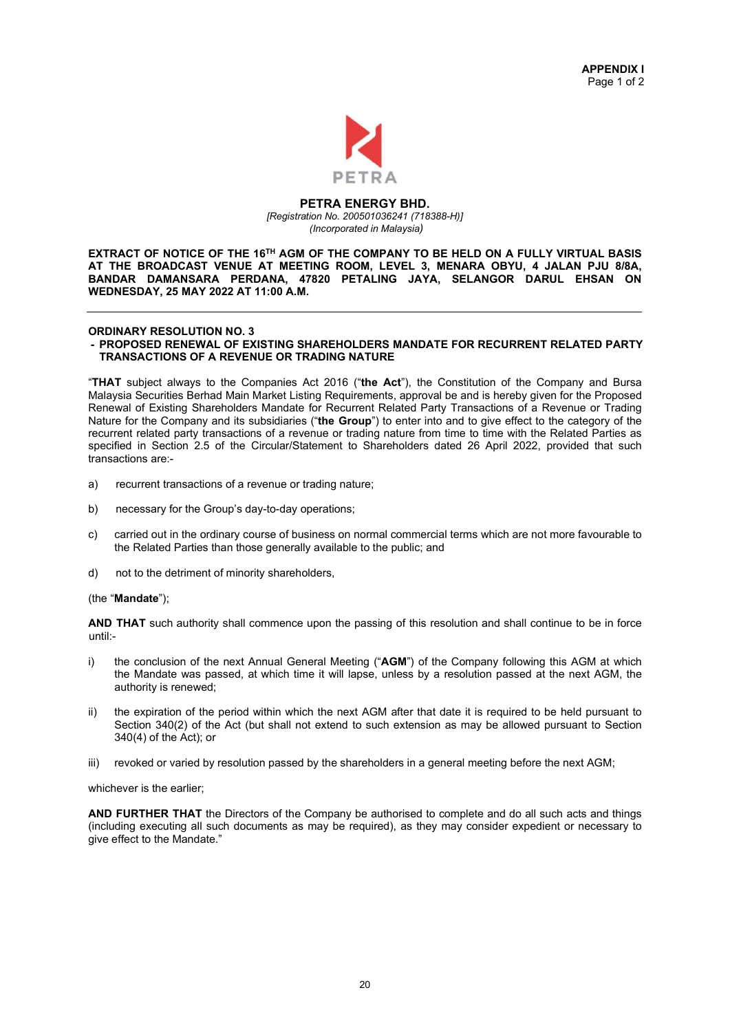

#### PETRA ENERGY BHD. [Registration No. 200501036241 (718388-H)] (Incorporated in Malaysia)

EXTRACT OF NOTICE OF THE 16TH AGM OF THE COMPANY TO BE HELD ON A FULLY VIRTUAL BASIS AT THE BROADCAST VENUE AT MEETING ROOM, LEVEL 3, MENARA OBYU, 4 JALAN PJU 8/8A, BANDAR DAMANSARA PERDANA, 47820 PETALING JAYA, SELANGOR DARUL EHSAN ON WEDNESDAY, 25 MAY 2022 AT 11:00 A.M.

## ORDINARY RESOLUTION NO. 3

#### - PROPOSED RENEWAL OF EXISTING SHAREHOLDERS MANDATE FOR RECURRENT RELATED PARTY TRANSACTIONS OF A REVENUE OR TRADING NATURE

"THAT subject always to the Companies Act 2016 ("the Act"), the Constitution of the Company and Bursa Malaysia Securities Berhad Main Market Listing Requirements, approval be and is hereby given for the Proposed Renewal of Existing Shareholders Mandate for Recurrent Related Party Transactions of a Revenue or Trading Nature for the Company and its subsidiaries ("the Group") to enter into and to give effect to the category of the recurrent related party transactions of a revenue or trading nature from time to time with the Related Parties as specified in Section 2.5 of the Circular/Statement to Shareholders dated 26 April 2022, provided that such transactions are:-

- a) recurrent transactions of a revenue or trading nature;
- b) necessary for the Group's day-to-day operations;
- c) carried out in the ordinary course of business on normal commercial terms which are not more favourable to the Related Parties than those generally available to the public; and
- d) not to the detriment of minority shareholders,

### (the "Mandate");

AND THAT such authority shall commence upon the passing of this resolution and shall continue to be in force until:-

- i) the conclusion of the next Annual General Meeting ("AGM") of the Company following this AGM at which the Mandate was passed, at which time it will lapse, unless by a resolution passed at the next AGM, the authority is renewed;
- ii) the expiration of the period within which the next AGM after that date it is required to be held pursuant to Section 340(2) of the Act (but shall not extend to such extension as may be allowed pursuant to Section 340(4) of the Act); or
- iii) revoked or varied by resolution passed by the shareholders in a general meeting before the next AGM;

whichever is the earlier;

AND FURTHER THAT the Directors of the Company be authorised to complete and do all such acts and things (including executing all such documents as may be required), as they may consider expedient or necessary to give effect to the Mandate."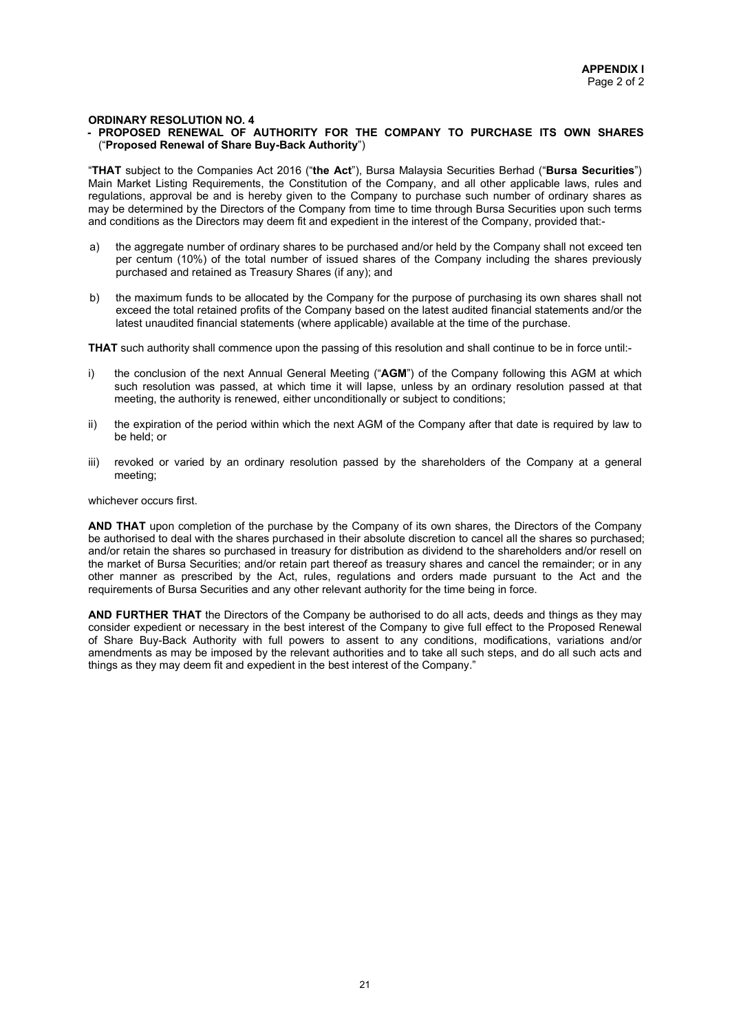#### ORDINARY RESOLUTION NO. 4

#### - PROPOSED RENEWAL OF AUTHORITY FOR THE COMPANY TO PURCHASE ITS OWN SHARES ("Proposed Renewal of Share Buy-Back Authority")

"THAT subject to the Companies Act 2016 ("the Act"), Bursa Malaysia Securities Berhad ("Bursa Securities") Main Market Listing Requirements, the Constitution of the Company, and all other applicable laws, rules and regulations, approval be and is hereby given to the Company to purchase such number of ordinary shares as may be determined by the Directors of the Company from time to time through Bursa Securities upon such terms and conditions as the Directors may deem fit and expedient in the interest of the Company, provided that:-

- a) the aggregate number of ordinary shares to be purchased and/or held by the Company shall not exceed ten per centum (10%) of the total number of issued shares of the Company including the shares previously purchased and retained as Treasury Shares (if any); and
- b) the maximum funds to be allocated by the Company for the purpose of purchasing its own shares shall not exceed the total retained profits of the Company based on the latest audited financial statements and/or the latest unaudited financial statements (where applicable) available at the time of the purchase.

THAT such authority shall commence upon the passing of this resolution and shall continue to be in force until:-

- i) the conclusion of the next Annual General Meeting ("AGM") of the Company following this AGM at which such resolution was passed, at which time it will lapse, unless by an ordinary resolution passed at that meeting, the authority is renewed, either unconditionally or subject to conditions;
- ii) the expiration of the period within which the next AGM of the Company after that date is required by law to be held; or
- iii) revoked or varied by an ordinary resolution passed by the shareholders of the Company at a general meeting;

whichever occurs first.

AND THAT upon completion of the purchase by the Company of its own shares, the Directors of the Company be authorised to deal with the shares purchased in their absolute discretion to cancel all the shares so purchased; and/or retain the shares so purchased in treasury for distribution as dividend to the shareholders and/or resell on the market of Bursa Securities; and/or retain part thereof as treasury shares and cancel the remainder; or in any other manner as prescribed by the Act, rules, regulations and orders made pursuant to the Act and the requirements of Bursa Securities and any other relevant authority for the time being in force.

AND FURTHER THAT the Directors of the Company be authorised to do all acts, deeds and things as they may consider expedient or necessary in the best interest of the Company to give full effect to the Proposed Renewal of Share Buy-Back Authority with full powers to assent to any conditions, modifications, variations and/or amendments as may be imposed by the relevant authorities and to take all such steps, and do all such acts and things as they may deem fit and expedient in the best interest of the Company."